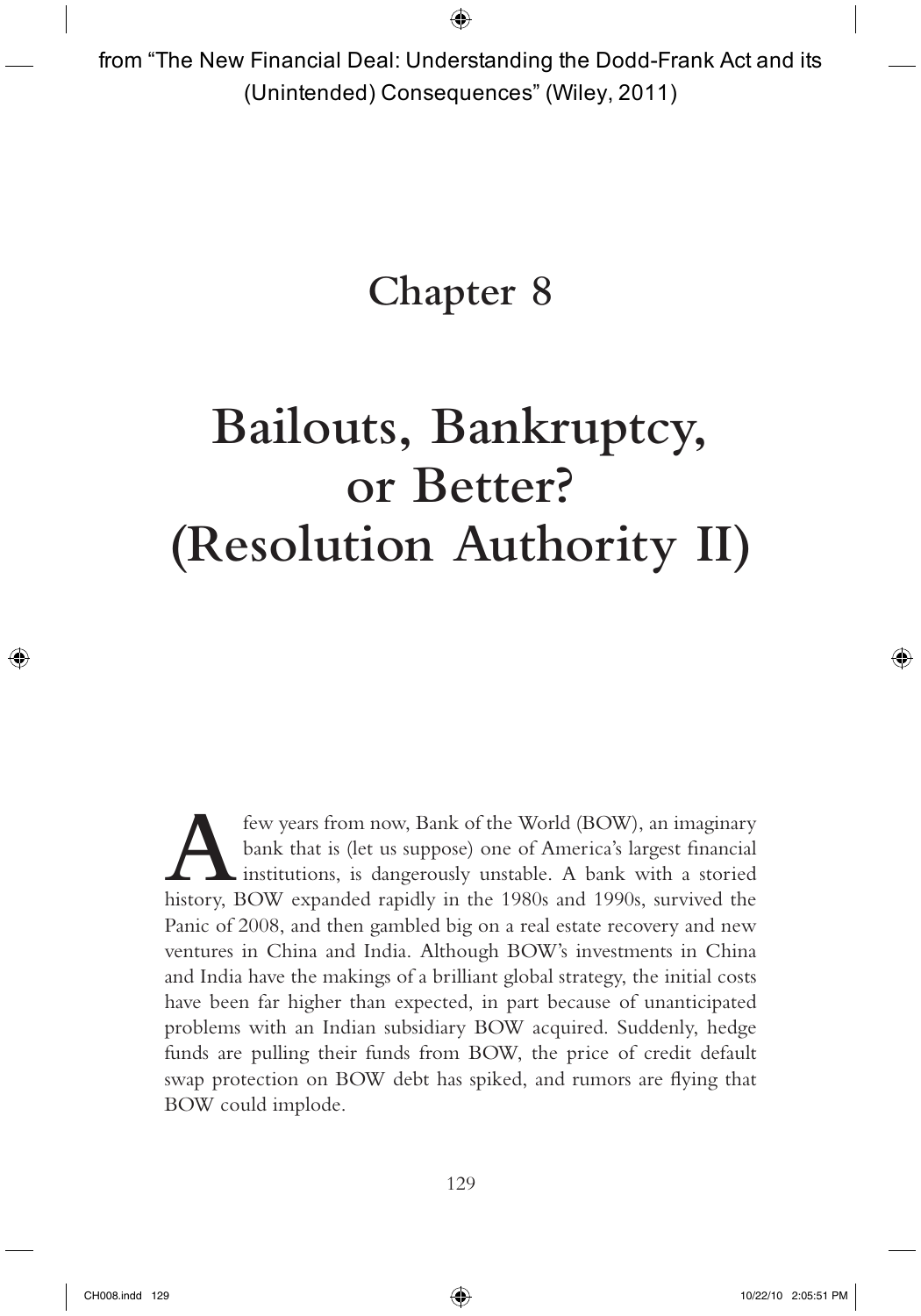from "The New Financial Deal: Understanding the Dodd-Frank Act and its (Unintended) Consequences" (Wiley, 2011)

# Chapter 8

# Bailouts, Bankruptcy, or Better? (Resolution Authority II)

few years from now, Bank of the World (BOW), an imaginary<br>bank that is (let us suppose) one of America's largest financial<br>institutions, is dangerously unstable. A bank with a storied<br>history BOW expanded rapidly in the 19 bank that is (let us suppose) one of America's largest financial institutions, is dangerously unstable. A bank with a storied history, BOW expanded rapidly in the 1980s and 1990s, survived the Panic of 2008, and then gambled big on a real estate recovery and new ventures in China and India. Although BOW's investments in China and India have the makings of a brilliant global strategy, the initial costs have been far higher than expected, in part because of unanticipated problems with an Indian subsidiary BOW acquired. Suddenly, hedge funds are pulling their funds from BOW, the price of credit default swap protection on BOW debt has spiked, and rumors are flying that BOW could implode.

⊕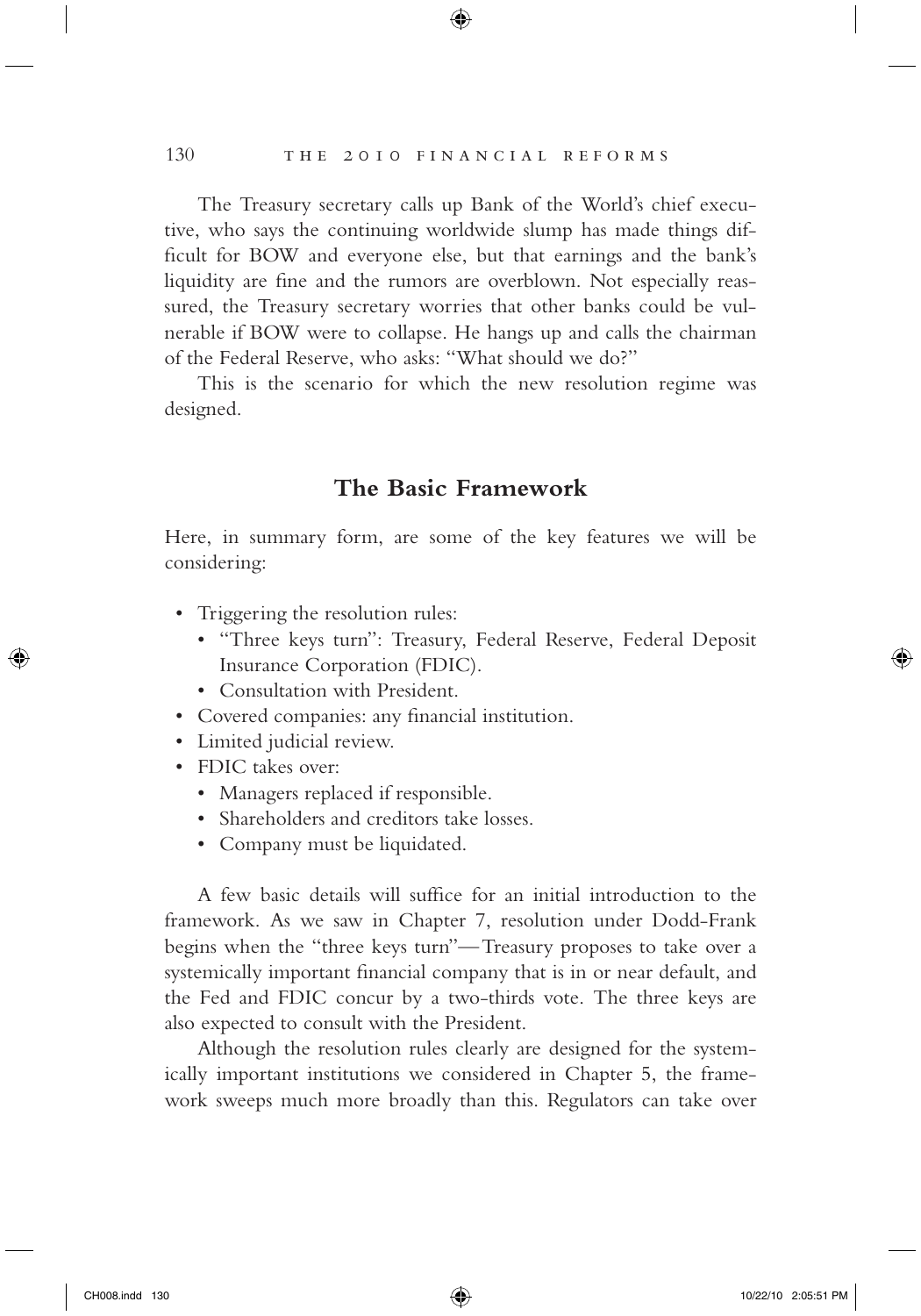The Treasury secretary calls up Bank of the World's chief executive, who says the continuing worldwide slump has made things difficult for BOW and everyone else, but that earnings and the bank's liquidity are fine and the rumors are overblown. Not especially reassured, the Treasury secretary worries that other banks could be vulnerable if BOW were to collapse. He hangs up and calls the chairman of the Federal Reserve, who asks: " What should we do? "

⊕

This is the scenario for which the new resolution regime was designed.

### The Basic Framework

Here, in summary form, are some of the key features we will be considering:

- Triggering the resolution rules:
	- "Three keys turn": Treasury, Federal Reserve, Federal Deposit Insurance Corporation (FDIC).
	- Consultation with President. •
- Covered companies: any financial institution.
- Limited judicial review. •
- FDIC takes over:
	- Managers replaced if responsible. •
	- Shareholders and creditors take losses.
	- Company must be liquidated. •

A few basic details will suffice for an initial introduction to the framework. As we saw in Chapter 7, resolution under Dodd-Frank begins when the "three keys turn"—Treasury proposes to take over a systemically important financial company that is in or near default, and the Fed and FDIC concur by a two-thirds vote. The three keys are also expected to consult with the President.

Although the resolution rules clearly are designed for the systemically important institutions we considered in Chapter 5, the framework sweeps much more broadly than this. Regulators can take over

⊕

↔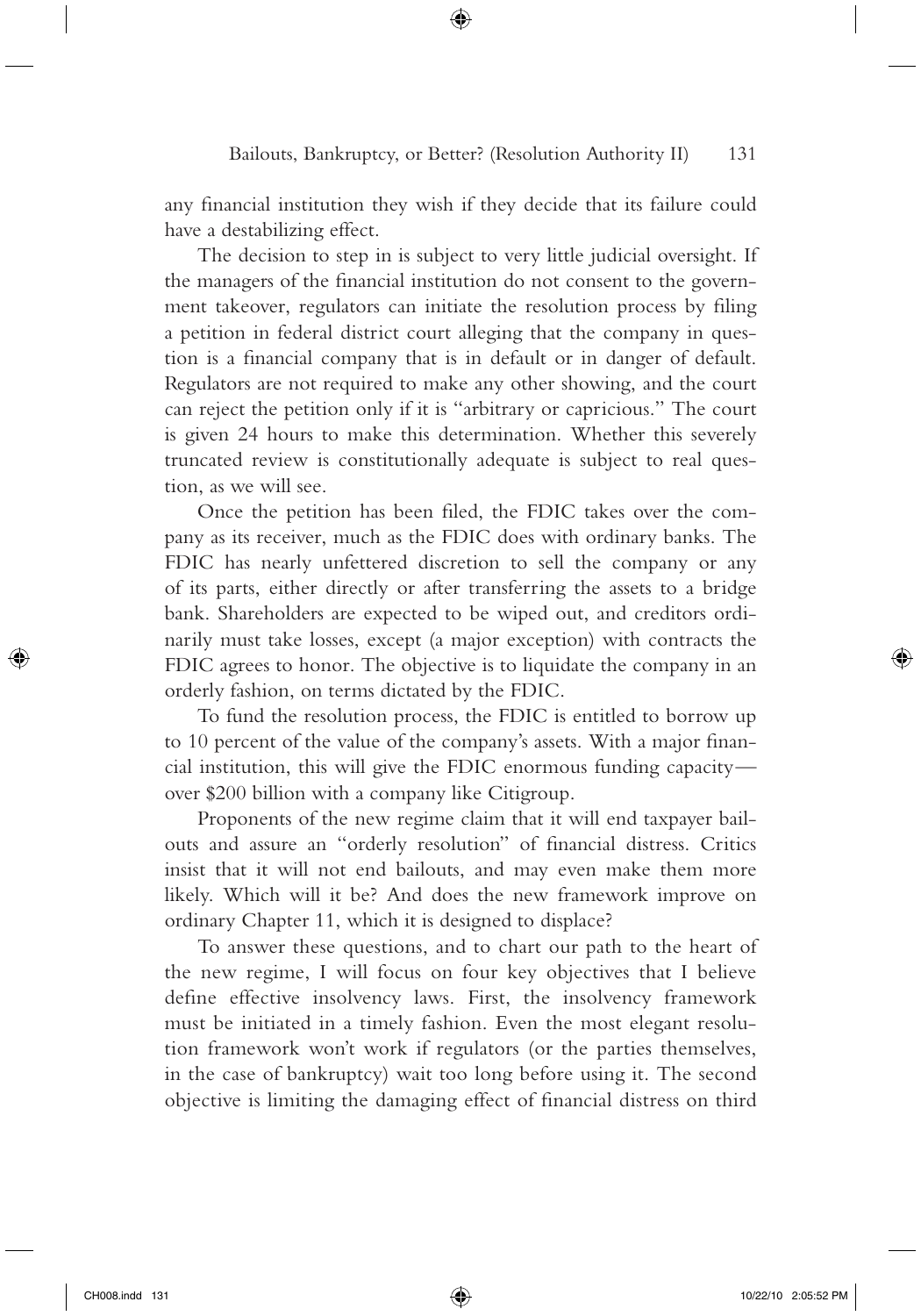any financial institution they wish if they decide that its failure could have a destabilizing effect.

⊕

The decision to step in is subject to very little judicial oversight. If the managers of the financial institution do not consent to the government takeover, regulators can initiate the resolution process by filing a petition in federal district court alleging that the company in question is a financial company that is in default or in danger of default. Regulators are not required to make any other showing, and the court can reject the petition only if it is " arbitrary or capricious. "The court is given 24 hours to make this determination. Whether this severely truncated review is constitutionally adequate is subject to real question, as we will see.

Once the petition has been filed, the FDIC takes over the company as its receiver, much as the FDIC does with ordinary banks. The FDIC has nearly unfettered discretion to sell the company or any of its parts, either directly or after transferring the assets to a bridge bank. Shareholders are expected to be wiped out, and creditors ordinarily must take losses, except (a major exception) with contracts the FDIC agrees to honor. The objective is to liquidate the company in an orderly fashion, on terms dictated by the FDIC.

To fund the resolution process, the FDIC is entitled to borrow up to 10 percent of the value of the company's assets. With a major financial institution, this will give the FDIC enormous funding capacity over \$200 billion with a company like Citigroup.

Proponents of the new regime claim that it will end taxpayer bailouts and assure an "orderly resolution" of financial distress. Critics insist that it will not end bailouts, and may even make them more likely. Which will it be? And does the new framework improve on ordinary Chapter 11, which it is designed to displace?

To answer these questions, and to chart our path to the heart of the new regime, I will focus on four key objectives that I believe define effective insolvency laws. First, the insolvency framework must be initiated in a timely fashion. Even the most elegant resolution framework won't work if regulators (or the parties themselves, in the case of bankruptcy) wait too long before using it. The second objective is limiting the damaging effect of financial distress on third

⇔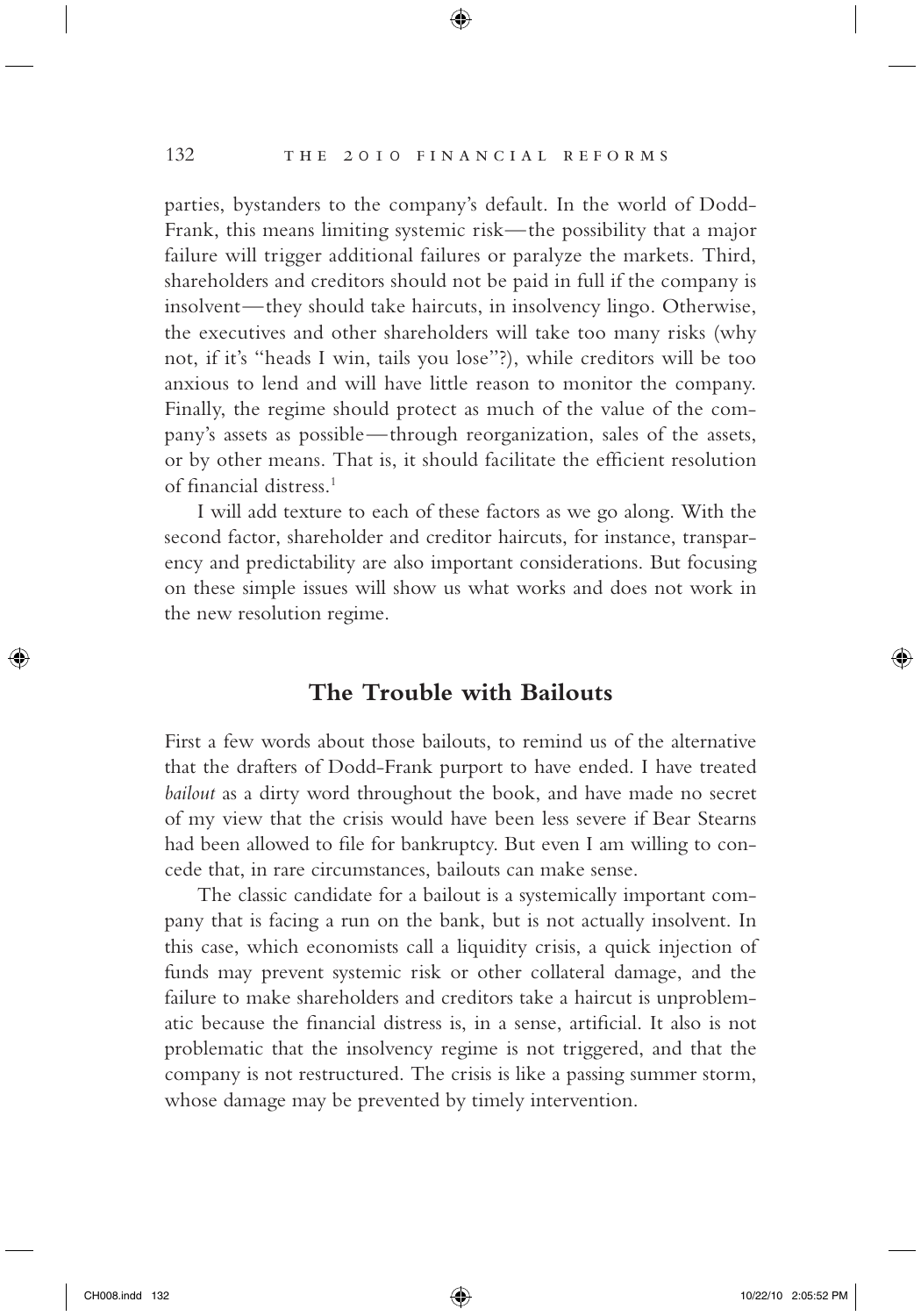parties, bystanders to the company's default. In the world of Dodd-Frank, this means limiting systemic risk—the possibility that a major failure will trigger additional failures or paralyze the markets. Third, shareholders and creditors should not be paid in full if the company is insolvent — they should take haircuts, in insolvency lingo. Otherwise, the executives and other shareholders will take too many risks (why not, if it's "heads I win, tails you lose"?), while creditors will be too anxious to lend and will have little reason to monitor the company. Finally, the regime should protect as much of the value of the company's assets as possible—through reorganization, sales of the assets, or by other means. That is, it should facilitate the efficient resolution of financial distress.<sup>1</sup>

⊕

I will add texture to each of these factors as we go along. With the second factor, shareholder and creditor haircuts, for instance, transparency and predictability are also important considerations. But focusing on these simple issues will show us what works and does not work in the new resolution regime.

# The Trouble with Bailouts

First a few words about those bailouts, to remind us of the alternative that the drafters of Dodd-Frank purport to have ended. I have treated bailout as a dirty word throughout the book, and have made no secret of my view that the crisis would have been less severe if Bear Stearns had been allowed to file for bankruptcy. But even I am willing to concede that, in rare circumstances, bailouts can make sense.

The classic candidate for a bailout is a systemically important company that is facing a run on the bank, but is not actually insolvent. In this case, which economists call a liquidity crisis, a quick injection of funds may prevent systemic risk or other collateral damage, and the failure to make shareholders and creditors take a haircut is unproblematic because the financial distress is, in a sense, artificial. It also is not problematic that the insolvency regime is not triggered, and that the company is not restructured. The crisis is like a passing summer storm, whose damage may be prevented by timely intervention.

↔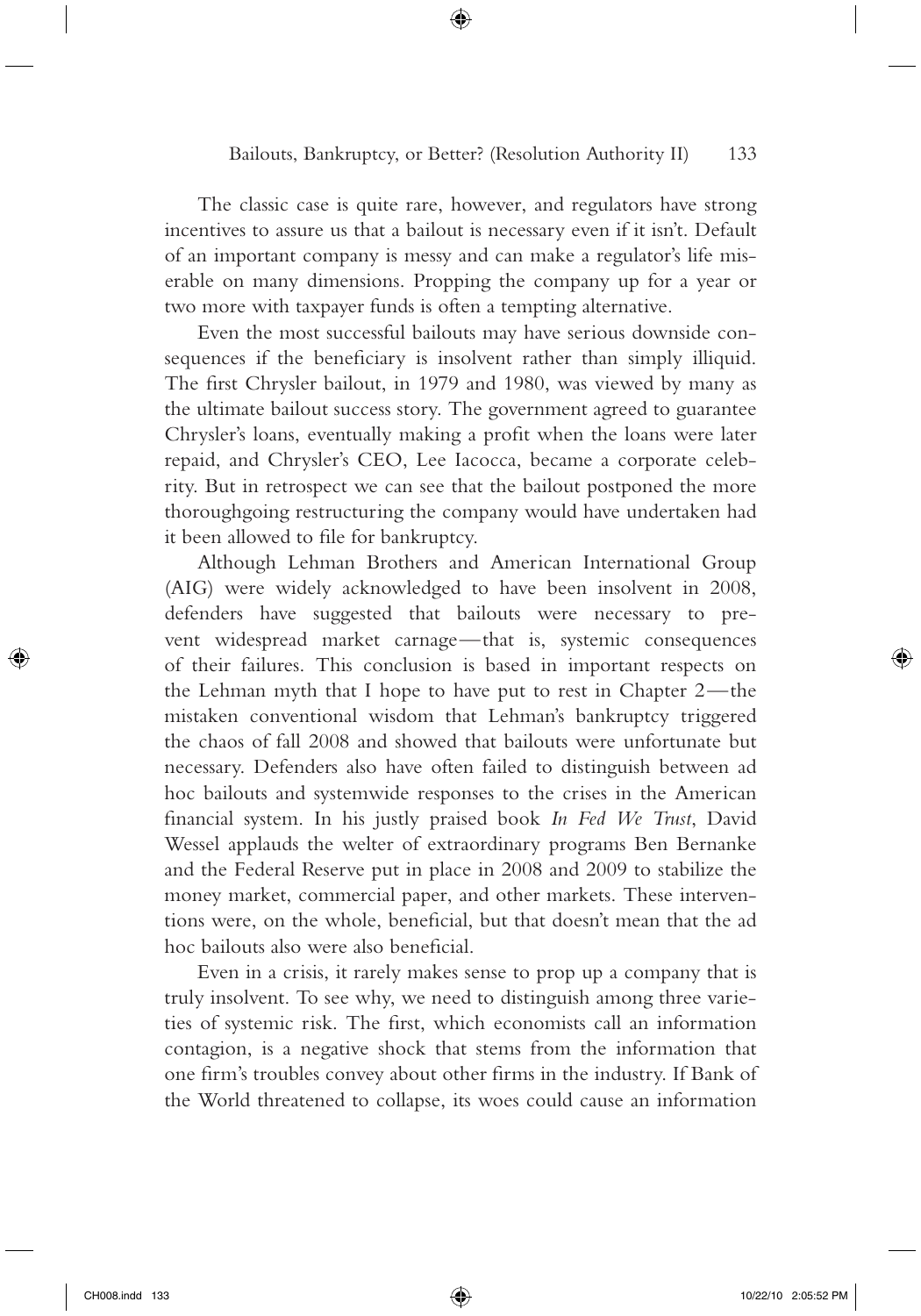The classic case is quite rare, however, and regulators have strong incentives to assure us that a bailout is necessary even if it isn't. Default of an important company is messy and can make a regulator's life miserable on many dimensions. Propping the company up for a year or two more with taxpayer funds is often a tempting alternative.

⊕

Even the most successful bailouts may have serious downside consequences if the beneficiary is insolvent rather than simply illiquid. The first Chrysler bailout, in 1979 and 1980, was viewed by many as the ultimate bailout success story. The government agreed to guarantee Chrysler's loans, eventually making a profit when the loans were later repaid, and Chrysler's CEO, Lee Iacocca, became a corporate celebrity. But in retrospect we can see that the bailout postponed the more thoroughgoing restructuring the company would have undertaken had it been allowed to file for bankruptcy.

Although Lehman Brothers and American International Group (AIG) were widely acknowledged to have been insolvent in 2008, defenders have suggested that bailouts were necessary to prevent widespread market carnage — that is, systemic consequences of their failures. This conclusion is based in important respects on the Lehman myth that I hope to have put to rest in Chapter 2 — the mistaken conventional wisdom that Lehman's bankruptcy triggered the chaos of fall 2008 and showed that bailouts were unfortunate but necessary. Defenders also have often failed to distinguish between ad hoc bailouts and systemwide responses to the crises in the American financial system. In his justly praised book In Fed We Trust, David Wessel applauds the welter of extraordinary programs Ben Bernanke and the Federal Reserve put in place in 2008 and 2009 to stabilize the money market, commercial paper, and other markets. These interventions were, on the whole, beneficial, but that doesn't mean that the ad hoc bailouts also were also beneficial.

Even in a crisis, it rarely makes sense to prop up a company that is truly insolvent. To see why, we need to distinguish among three varieties of systemic risk. The first, which economists call an information contagion, is a negative shock that stems from the information that one firm's troubles convey about other firms in the industry. If Bank of the World threatened to collapse, its woes could cause an information

⊕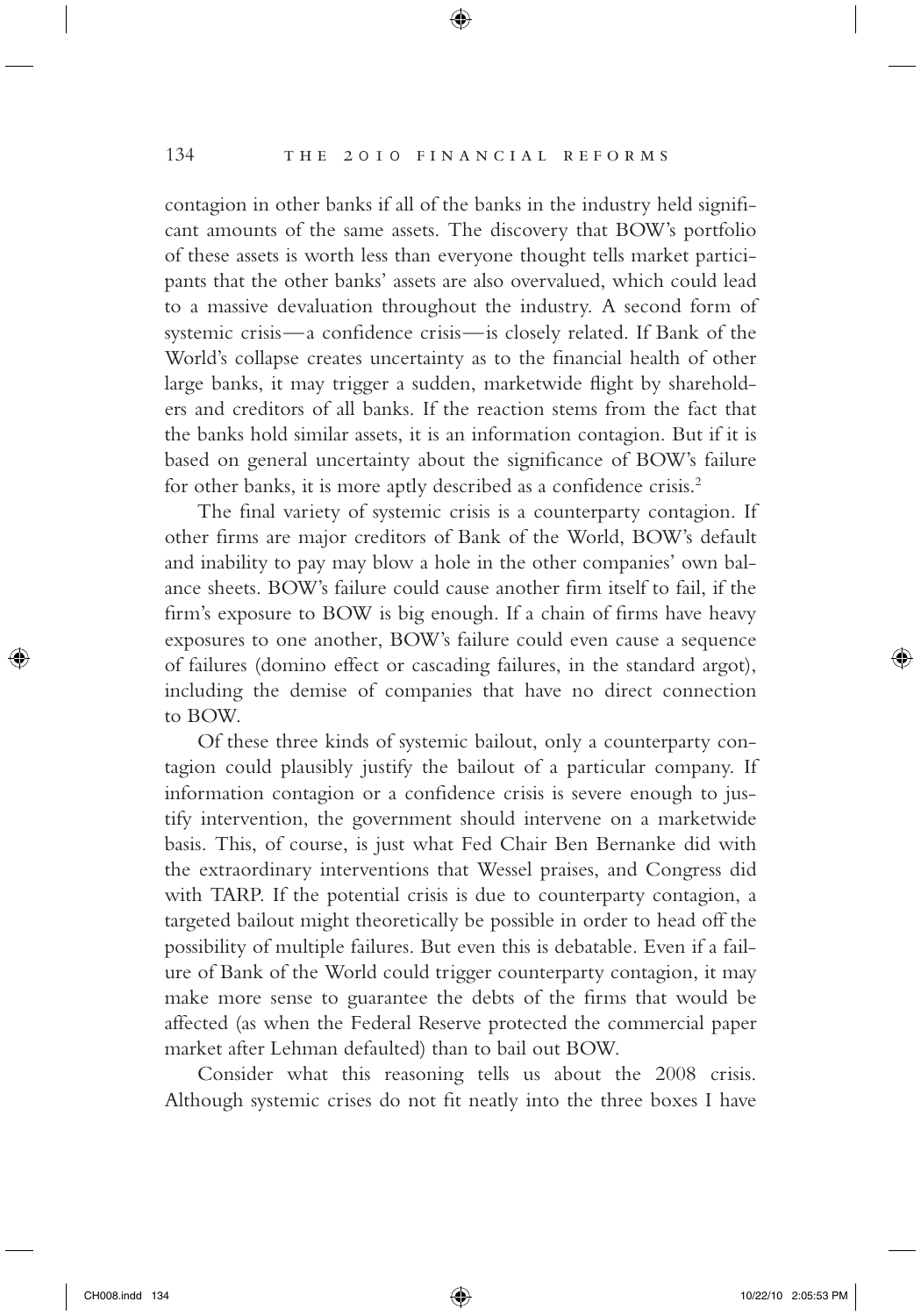contagion in other banks if all of the banks in the industry held significant amounts of the same assets. The discovery that BOW's portfolio of these assets is worth less than everyone thought tells market participants that the other banks' assets are also overvalued, which could lead to a massive devaluation throughout the industry. A second form of systemic crisis—a confidence crisis—is closely related. If Bank of the World's collapse creates uncertainty as to the financial health of other large banks, it may trigger a sudden, marketwide flight by shareholders and creditors of all banks. If the reaction stems from the fact that the banks hold similar assets, it is an information contagion. But if it is based on general uncertainty about the significance of BOW's failure for other banks, it is more aptly described as a confidence crisis.<sup>2</sup>

⊕

The final variety of systemic crisis is a counterparty contagion. If other firms are major creditors of Bank of the World, BOW's default and inability to pay may blow a hole in the other companies' own balance sheets. BOW's failure could cause another firm itself to fail, if the firm's exposure to BOW is big enough. If a chain of firms have heavy exposures to one another, BOW's failure could even cause a sequence of failures (domino effect or cascading failures, in the standard argot), including the demise of companies that have no direct connection to BOW.

Of these three kinds of systemic bailout, only a counterparty contagion could plausibly justify the bailout of a particular company. If information contagion or a confidence crisis is severe enough to justify intervention, the government should intervene on a marketwide basis. This, of course, is just what Fed Chair Ben Bernanke did with the extraordinary interventions that Wessel praises, and Congress did with TARP. If the potential crisis is due to counterparty contagion, a targeted bailout might theoretically be possible in order to head off the possibility of multiple failures. But even this is debatable. Even if a failure of Bank of the World could trigger counterparty contagion, it may make more sense to guarantee the debts of the firms that would be affected (as when the Federal Reserve protected the commercial paper market after Lehman defaulted) than to bail out BOW.

Consider what this reasoning tells us about the 2008 crisis. Although systemic crises do not fit neatly into the three boxes I have

⇔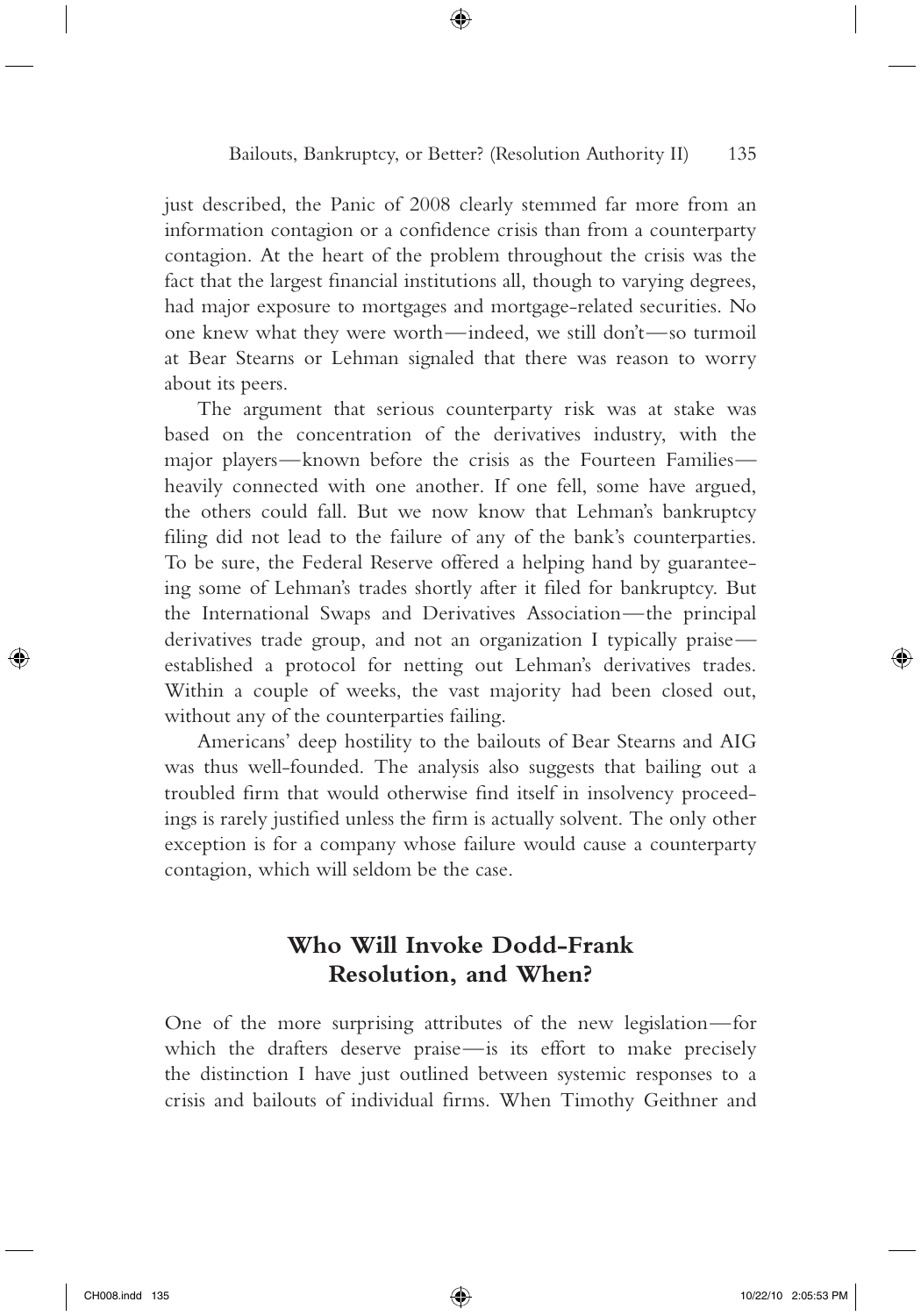#### Bailouts, Bankruptcy, or Better? (Resolution Authority II) 135

just described, the Panic of 2008 clearly stemmed far more from an information contagion or a confidence crisis than from a counterparty contagion. At the heart of the problem throughout the crisis was the fact that the largest financial institutions all, though to varying degrees, had major exposure to mortgages and mortgage-related securities. No one knew what they were worth—indeed, we still don't—so turmoil at Bear Stearns or Lehman signaled that there was reason to worry about its peers.

⊕

The argument that serious counterparty risk was at stake was based on the concentration of the derivatives industry, with the major players—known before the crisis as the Fourteen Families heavily connected with one another. If one fell, some have argued, the others could fall. But we now know that Lehman's bankruptcy filing did not lead to the failure of any of the bank's counterparties. To be sure, the Federal Reserve offered a helping hand by guaranteeing some of Lehman's trades shortly after it filed for bankruptcy. But the International Swaps and Derivatives Association — the principal derivatives trade group, and not an organization I typically praiseestablished a protocol for netting out Lehman's derivatives trades. Within a couple of weeks, the vast majority had been closed out, without any of the counterparties failing.

Americans' deep hostility to the bailouts of Bear Stearns and AIG was thus well-founded. The analysis also suggests that bailing out a troubled firm that would otherwise find itself in insolvency proceedings is rarely justified unless the firm is actually solvent. The only other exception is for a company whose failure would cause a counterparty contagion, which will seldom be the case.

# Who Will Invoke Dodd-Frank Resolution, and When?

One of the more surprising attributes of the new legislation — for which the drafters deserve praise—is its effort to make precisely the distinction I have just outlined between systemic responses to a crisis and bailouts of individual firms. When Timothy Geithner and

⇔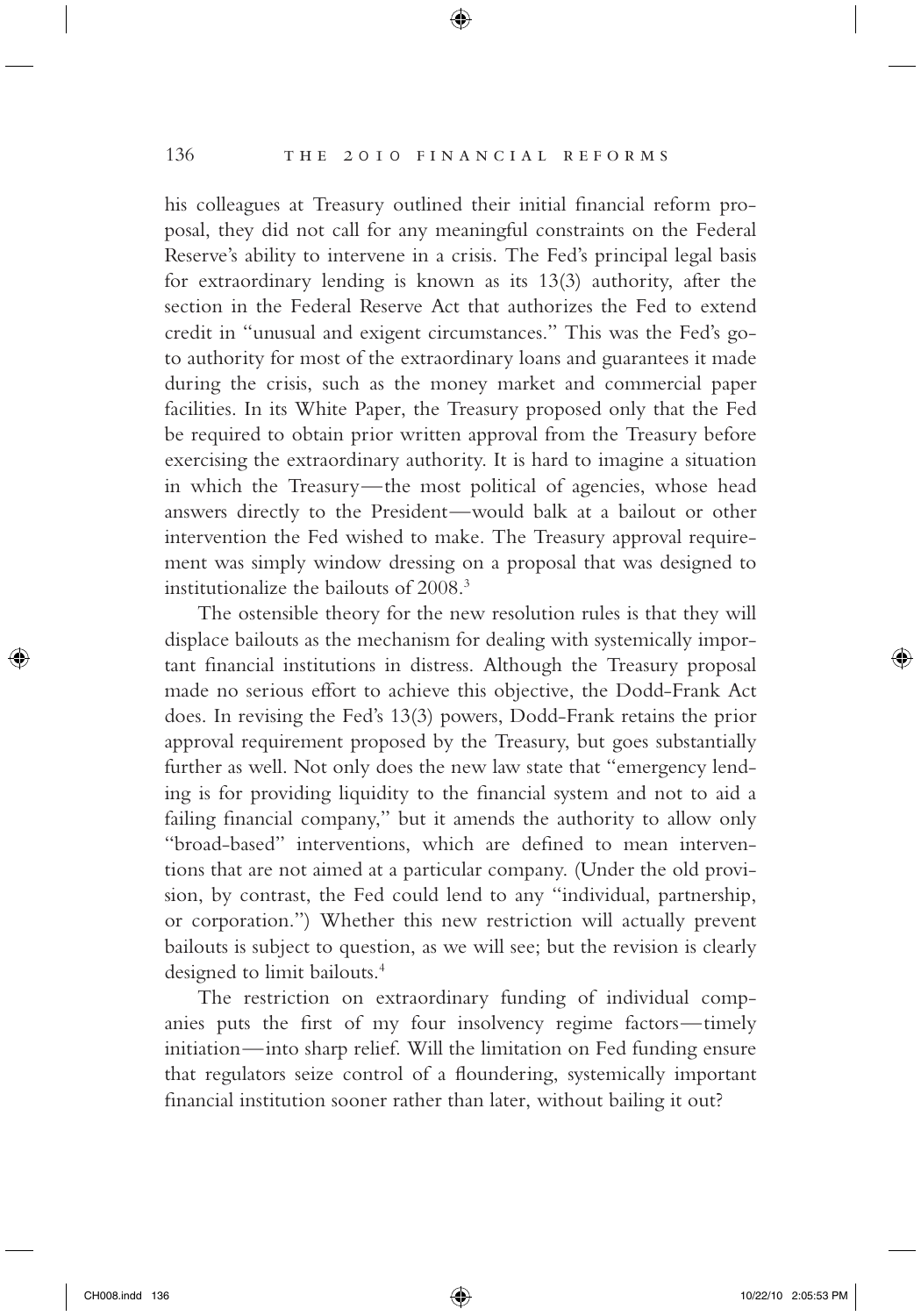⊕

his colleagues at Treasury outlined their initial financial reform proposal, they did not call for any meaningful constraints on the Federal Reserve's ability to intervene in a crisis. The Fed's principal legal basis for extraordinary lending is known as its 13(3) authority, after the section in the Federal Reserve Act that authorizes the Fed to extend credit in "unusual and exigent circumstances." This was the Fed's goto authority for most of the extraordinary loans and guarantees it made during the crisis, such as the money market and commercial paper facilities. In its White Paper, the Treasury proposed only that the Fed be required to obtain prior written approval from the Treasury before exercising the extraordinary authority. It is hard to imagine a situation in which the Treasury—the most political of agencies, whose head answers directly to the President — would balk at a bailout or other intervention the Fed wished to make. The Treasury approval requirement was simply window dressing on a proposal that was designed to institutionalize the bailouts of 2008. 3

The ostensible theory for the new resolution rules is that they will displace bailouts as the mechanism for dealing with systemically important financial institutions in distress. Although the Treasury proposal made no serious effort to achieve this objective, the Dodd-Frank Act does. In revising the Fed's 13(3) powers, Dodd-Frank retains the prior approval requirement proposed by the Treasury, but goes substantially further as well. Not only does the new law state that "emergency lending is for providing liquidity to the financial system and not to aid a failing financial company," but it amends the authority to allow only "broad-based" interventions, which are defined to mean interventions that are not aimed at a particular company. (Under the old provision, by contrast, the Fed could lend to any "individual, partnership, or corporation.") Whether this new restriction will actually prevent bailouts is subject to question, as we will see; but the revision is clearly designed to limit bailouts. 4

The restriction on extraordinary funding of individual companies puts the first of my four insolvency regime factors—timely initiation — into sharp relief. Will the limitation on Fed funding ensure that regulators seize control of a floundering, systemically important financial institution sooner rather than later, without bailing it out?

⇔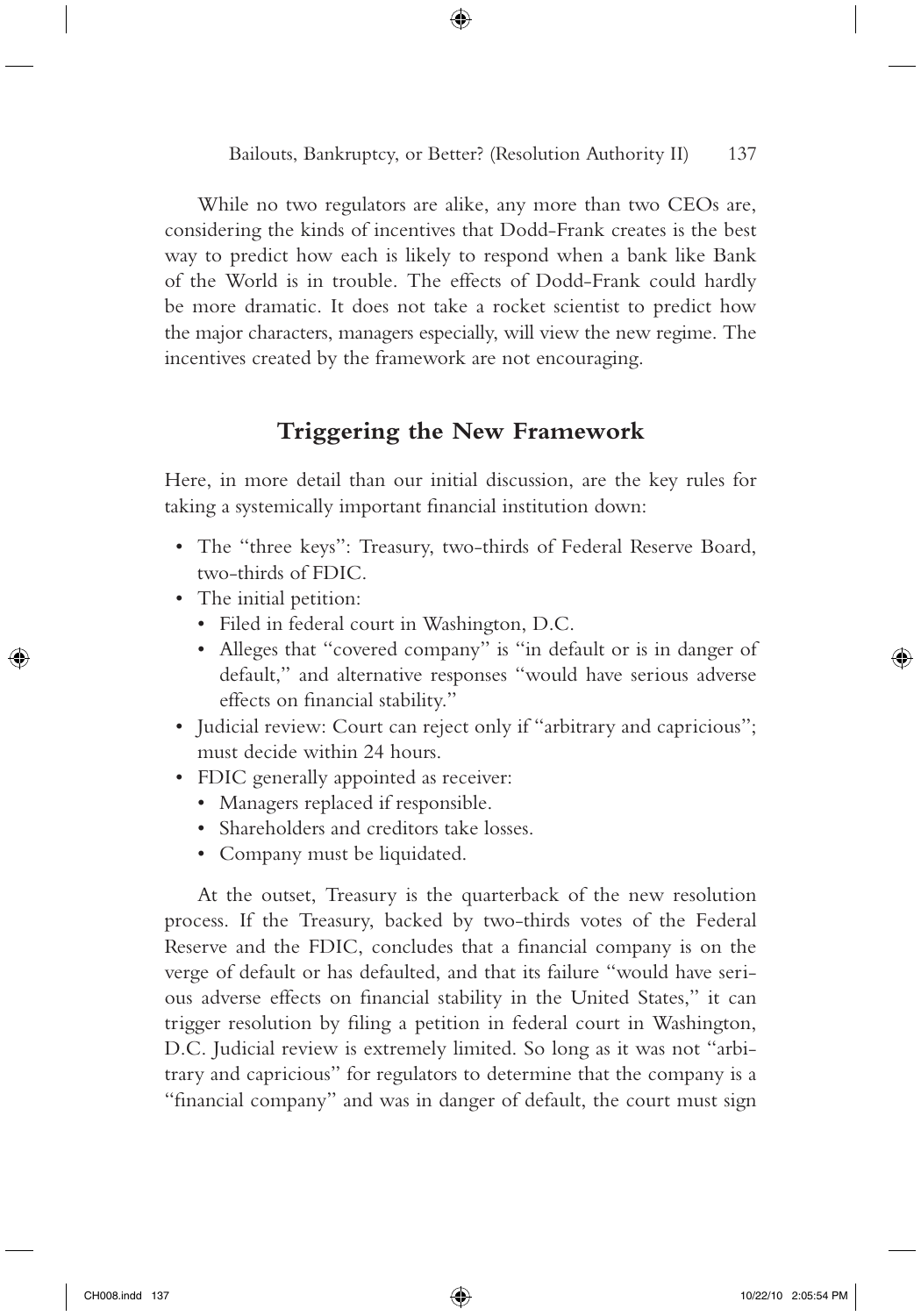While no two regulators are alike, any more than two CEOs are, considering the kinds of incentives that Dodd - Frank creates is the best way to predict how each is likely to respond when a bank like Bank of the World is in trouble. The effects of Dodd - Frank could hardly be more dramatic. It does not take a rocket scientist to predict how the major characters, managers especially, will view the new regime. The incentives created by the framework are not encouraging.

⊕

# Triggering the New Framework

Here, in more detail than our initial discussion, are the key rules for taking a systemically important financial institution down:

- The "three keys": Treasury, two-thirds of Federal Reserve Board, two-thirds of FDIC.
- The initial petition:
	- Filed in federal court in Washington, D.C.
	- Alleges that "covered company" is "in default or is in danger of default," and alternative responses "would have serious adverse effects on financial stability."
- Judicial review: Court can reject only if "arbitrary and capricious"; must decide within 24 hours.
- FDIC generally appointed as receiver:
	- Managers replaced if responsible. •
	- Shareholders and creditors take losses. •
	- Company must be liquidated. •

At the outset, Treasury is the quarterback of the new resolution process. If the Treasury, backed by two-thirds votes of the Federal Reserve and the FDIC, concludes that a financial company is on the verge of default or has defaulted, and that its failure " would have serious adverse effects on financial stability in the United States," it can trigger resolution by filing a petition in federal court in Washington, D.C. Judicial review is extremely limited. So long as it was not " arbitrary and capricious" for regulators to determine that the company is a "financial company" and was in danger of default, the court must sign

⊕

↔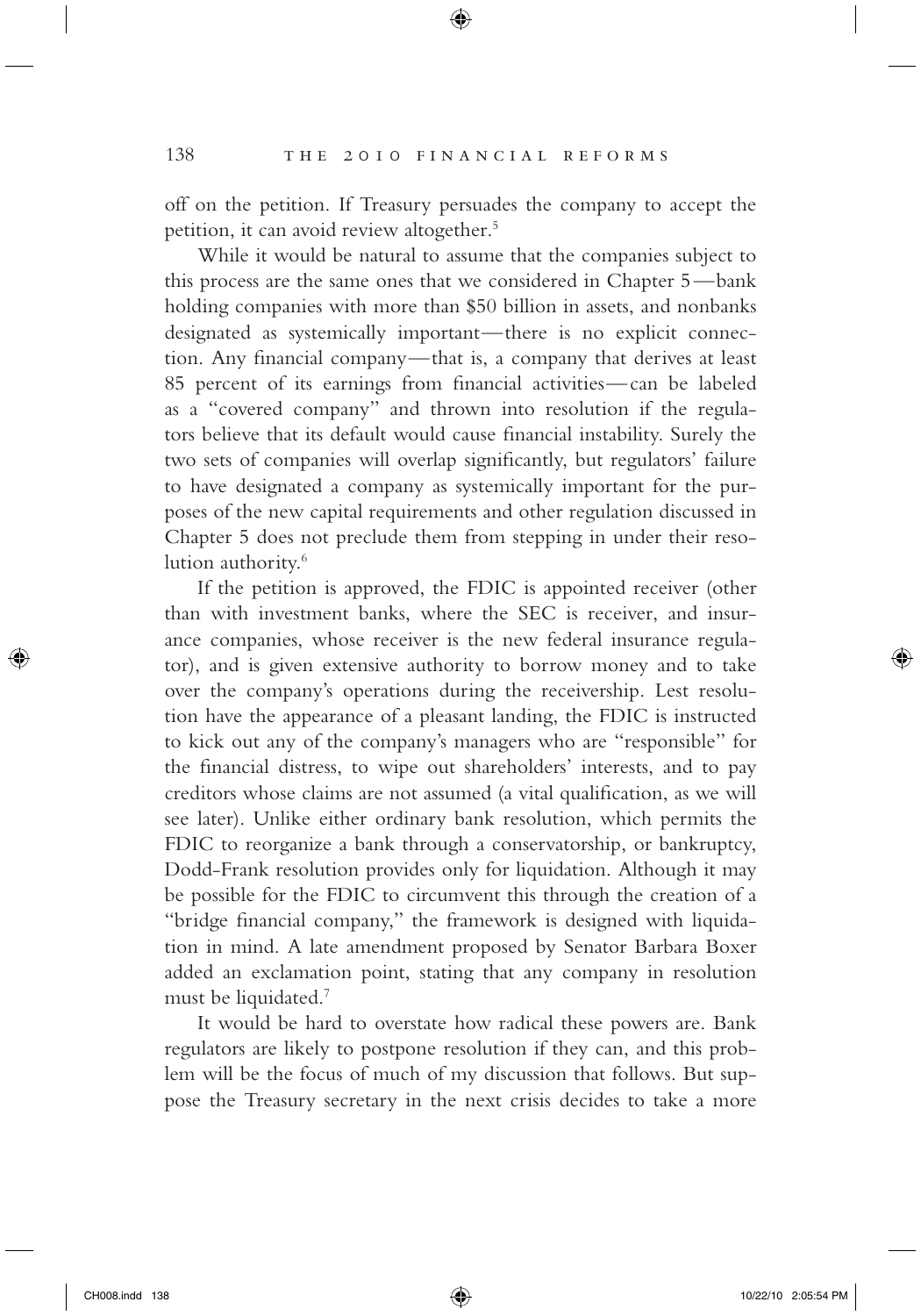off on the petition. If Treasury persuades the company to accept the petition, it can avoid review altogether. 5

⊕

While it would be natural to assume that the companies subject to this process are the same ones that we considered in Chapter 5 — bank holding companies with more than \$50 billion in assets, and nonbanks designated as systemically important — there is no explicit connection. Any financial company—that is, a company that derives at least 85 percent of its earnings from financial activities—can be labeled as a "covered company" and thrown into resolution if the regulators believe that its default would cause financial instability. Surely the two sets of companies will overlap significantly, but regulators' failure to have designated a company as systemically important for the purposes of the new capital requirements and other regulation discussed in Chapter 5 does not preclude them from stepping in under their resolution authority.<sup>6</sup>

If the petition is approved, the FDIC is appointed receiver (other than with investment banks, where the SEC is receiver, and insurance companies, whose receiver is the new federal insurance regulator), and is given extensive authority to borrow money and to take over the company's operations during the receivership. Lest resolution have the appearance of a pleasant landing, the FDIC is instructed to kick out any of the company's managers who are "responsible" for the financial distress, to wipe out shareholders' interests, and to pay creditors whose claims are not assumed (a vital qualification, as we will see later). Unlike either ordinary bank resolution, which permits the FDIC to reorganize a bank through a conservatorship, or bankruptcy, Dodd-Frank resolution provides only for liquidation. Although it may be possible for the FDIC to circumvent this through the creation of a "bridge financial company," the framework is designed with liquidation in mind. A late amendment proposed by Senator Barbara Boxer added an exclamation point, stating that any company in resolution must be liquidated.<sup>7</sup>

It would be hard to overstate how radical these powers are. Bank regulators are likely to postpone resolution if they can, and this problem will be the focus of much of my discussion that follows. But suppose the Treasury secretary in the next crisis decides to take a more

⇔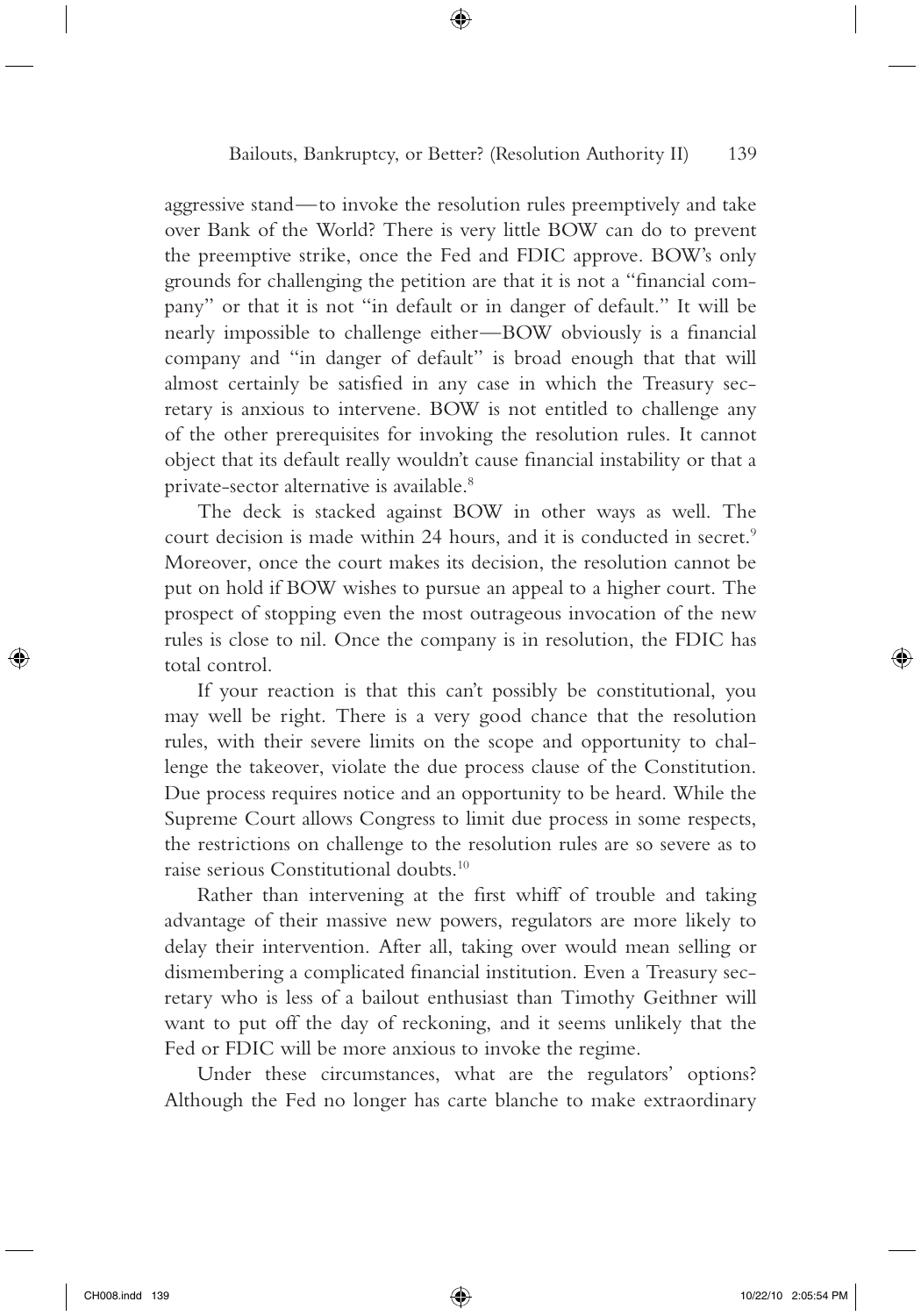#### Bailouts, Bankruptcy, or Better? (Resolution Authority II) 139

⊕

aggressive stand — to invoke the resolution rules preemptively and take over Bank of the World? There is very little BOW can do to prevent the preemptive strike, once the Fed and FDIC approve. BOW's only grounds for challenging the petition are that it is not a "financial company" or that it is not "in default or in danger of default." It will be nearly impossible to challenge either—BOW obviously is a financial company and "in danger of default" is broad enough that that will almost certainly be satisfied in any case in which the Treasury secretary is anxious to intervene. BOW is not entitled to challenge any of the other prerequisites for invoking the resolution rules. It cannot object that its default really wouldn't cause financial instability or that a private-sector alternative is available.<sup>8</sup>

The deck is stacked against BOW in other ways as well. The court decision is made within 24 hours, and it is conducted in secret.<sup>9</sup> Moreover, once the court makes its decision, the resolution cannot be put on hold if BOW wishes to pursue an appeal to a higher court. The prospect of stopping even the most outrageous invocation of the new rules is close to nil. Once the company is in resolution, the FDIC has total control.

If your reaction is that this can't possibly be constitutional, you may well be right. There is a very good chance that the resolution rules, with their severe limits on the scope and opportunity to challenge the takeover, violate the due process clause of the Constitution. Due process requires notice and an opportunity to be heard. While the Supreme Court allows Congress to limit due process in some respects, the restrictions on challenge to the resolution rules are so severe as to raise serious Constitutional doubts. 10

Rather than intervening at the first whiff of trouble and taking advantage of their massive new powers, regulators are more likely to delay their intervention. After all, taking over would mean selling or dismembering a complicated financial institution. Even a Treasury secretary who is less of a bailout enthusiast than Timothy Geithner will want to put off the day of reckoning, and it seems unlikely that the Fed or FDIC will be more anxious to invoke the regime.

Under these circumstances, what are the regulators' options? Although the Fed no longer has carte blanche to make extraordinary

⇔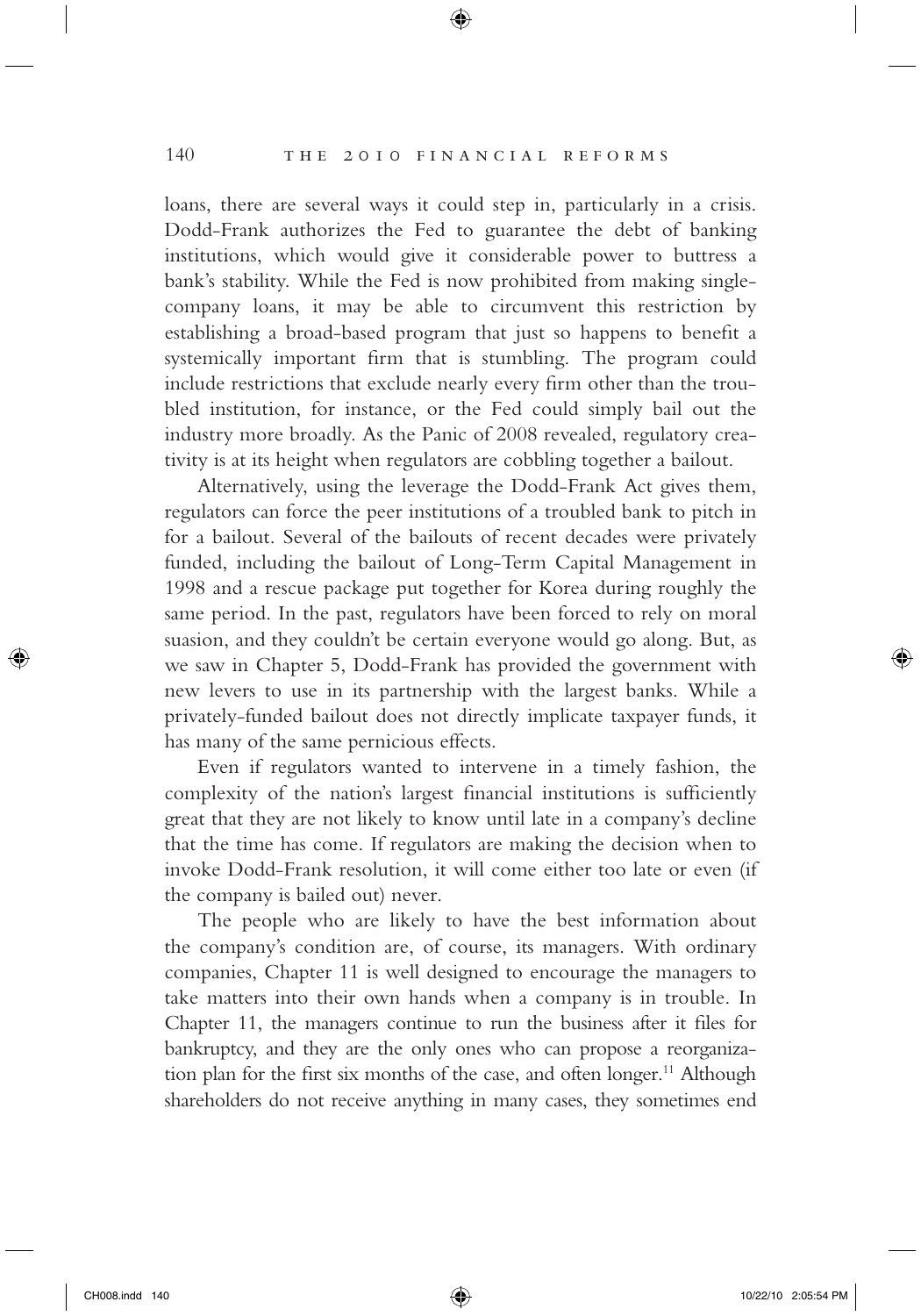loans, there are several ways it could step in, particularly in a crisis. Dodd-Frank authorizes the Fed to guarantee the debt of banking institutions, which would give it considerable power to buttress a bank's stability. While the Fed is now prohibited from making singlecompany loans, it may be able to circumvent this restriction by establishing a broad-based program that just so happens to benefit a systemically important firm that is stumbling. The program could include restrictions that exclude nearly every firm other than the troubled institution, for instance, or the Fed could simply bail out the industry more broadly. As the Panic of 2008 revealed, regulatory creativity is at its height when regulators are cobbling together a bailout.

⊕

Alternatively, using the leverage the Dodd-Frank Act gives them, regulators can force the peer institutions of a troubled bank to pitch in for a bailout. Several of the bailouts of recent decades were privately funded, including the bailout of Long-Term Capital Management in 1998 and a rescue package put together for Korea during roughly the same period. In the past, regulators have been forced to rely on moral suasion, and they couldn't be certain everyone would go along. But, as we saw in Chapter 5, Dodd-Frank has provided the government with new levers to use in its partnership with the largest banks. While a privately-funded bailout does not directly implicate taxpayer funds, it has many of the same pernicious effects.

Even if regulators wanted to intervene in a timely fashion, the complexity of the nation's largest financial institutions is sufficiently great that they are not likely to know until late in a company's decline that the time has come. If regulators are making the decision when to invoke Dodd-Frank resolution, it will come either too late or even (if the company is bailed out) never.

The people who are likely to have the best information about the company's condition are, of course, its managers. With ordinary companies, Chapter 11 is well designed to encourage the managers to take matters into their own hands when a company is in trouble. In Chapter 11, the managers continue to run the business after it files for bankruptcy, and they are the only ones who can propose a reorganization plan for the first six months of the case, and often longer.<sup>11</sup> Although shareholders do not receive anything in many cases, they sometimes end

⇔

 $\leftrightarrow$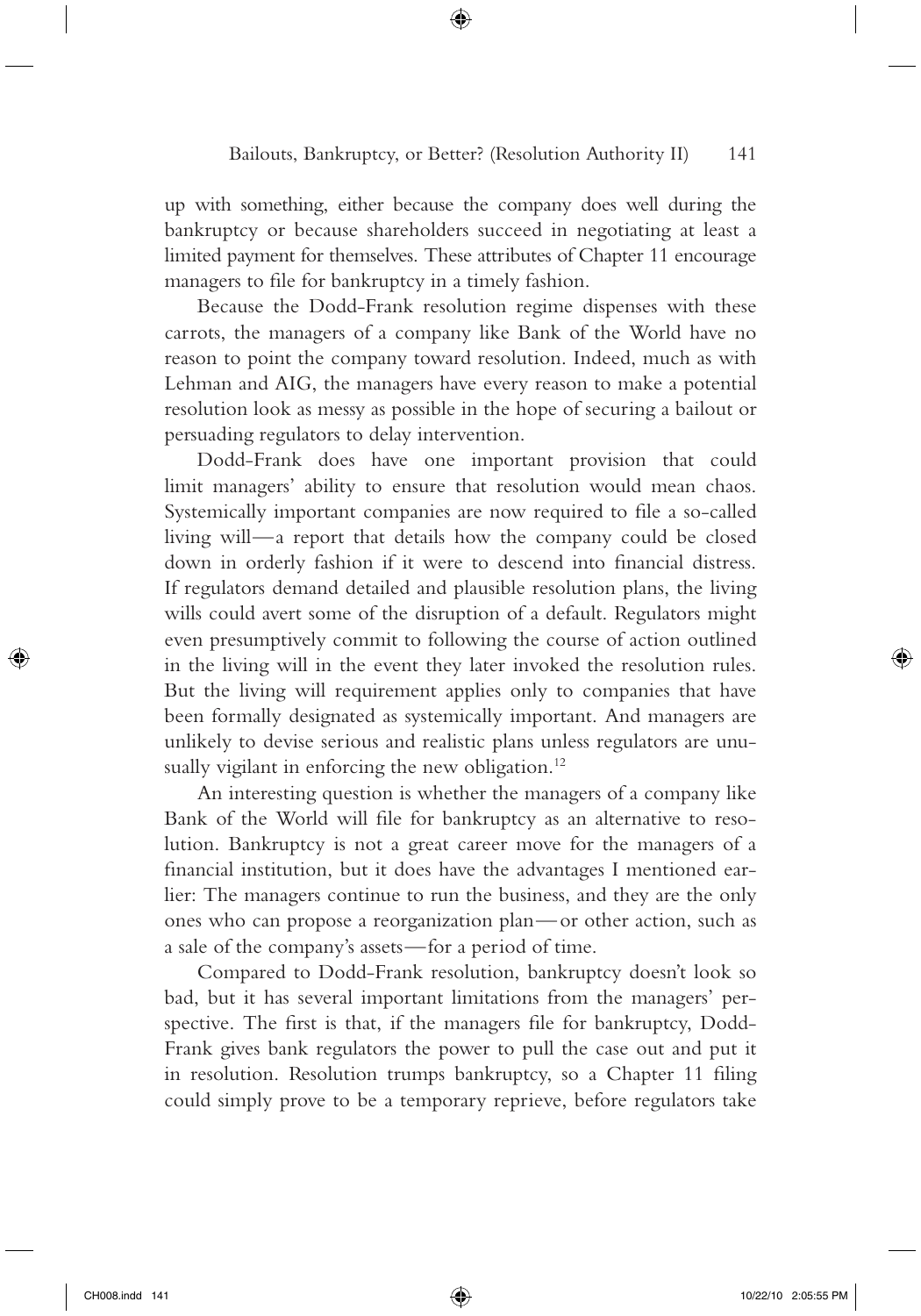up with something, either because the company does well during the bankruptcy or because shareholders succeed in negotiating at least a limited payment for themselves. These attributes of Chapter 11 encourage managers to file for bankruptcy in a timely fashion.

⊕

Because the Dodd-Frank resolution regime dispenses with these carrots, the managers of a company like Bank of the World have no reason to point the company toward resolution. Indeed, much as with Lehman and AIG, the managers have every reason to make a potential resolution look as messy as possible in the hope of securing a bailout or persuading regulators to delay intervention.

Dodd-Frank does have one important provision that could limit managers' ability to ensure that resolution would mean chaos. Systemically important companies are now required to file a so-called living will—a report that details how the company could be closed down in orderly fashion if it were to descend into financial distress. If regulators demand detailed and plausible resolution plans, the living wills could avert some of the disruption of a default. Regulators might even presumptively commit to following the course of action outlined in the living will in the event they later invoked the resolution rules. But the living will requirement applies only to companies that have been formally designated as systemically important. And managers are unlikely to devise serious and realistic plans unless regulators are unusually vigilant in enforcing the new obligation.<sup>12</sup>

An interesting question is whether the managers of a company like Bank of the World will file for bankruptcy as an alternative to resolution. Bankruptcy is not a great career move for the managers of a financial institution, but it does have the advantages I mentioned earlier: The managers continue to run the business, and they are the only ones who can propose a reorganization plan— or other action, such as a sale of the company's assets—for a period of time.

Compared to Dodd-Frank resolution, bankruptcy doesn't look so bad, but it has several important limitations from the managers' perspective. The first is that, if the managers file for bankruptcy, Dodd-Frank gives bank regulators the power to pull the case out and put it in resolution. Resolution trumps bankruptcy, so a Chapter 11 filing could simply prove to be a temporary reprieve, before regulators take

⇔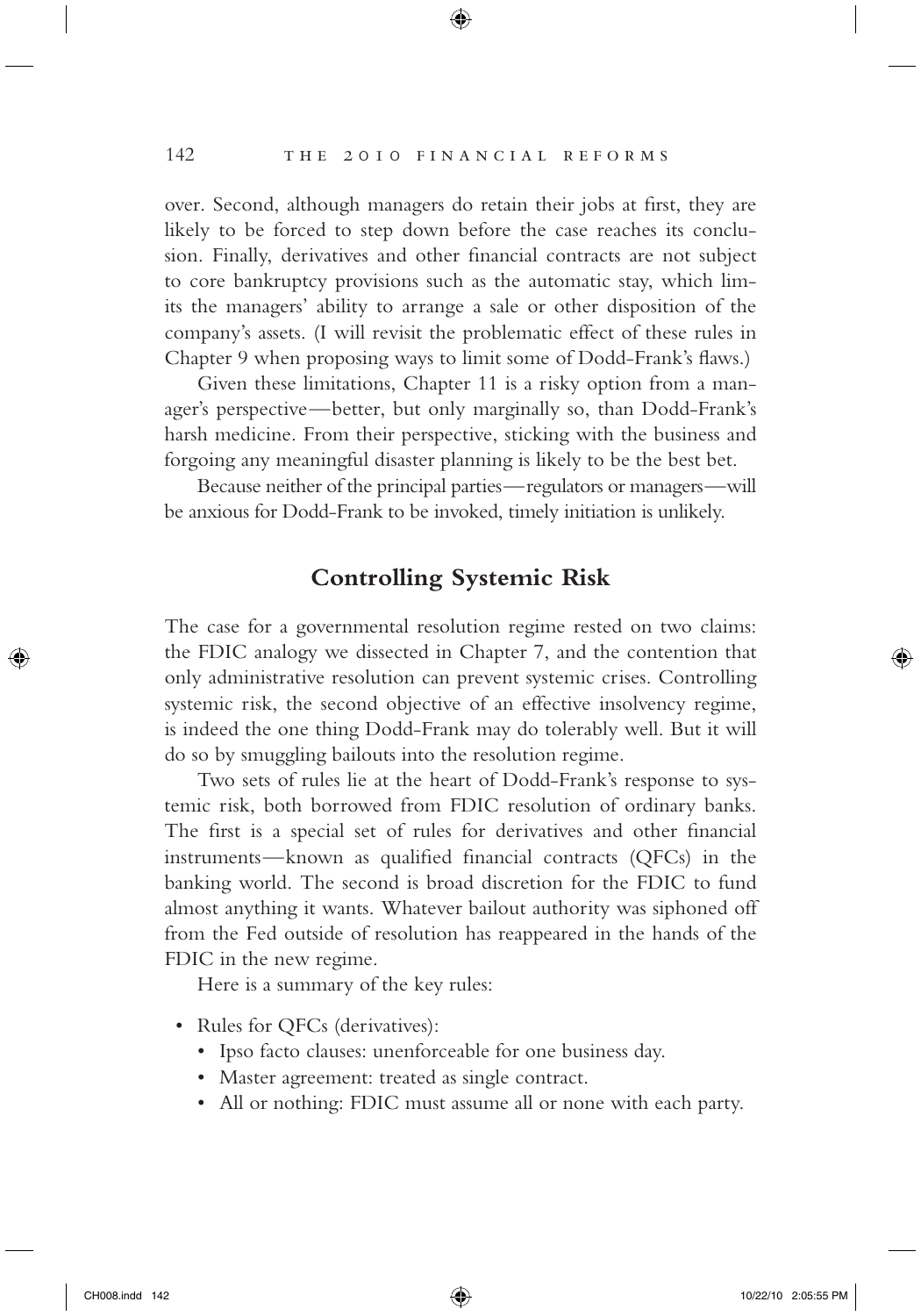over. Second, although managers do retain their jobs at first, they are likely to be forced to step down before the case reaches its conclusion. Finally, derivatives and other financial contracts are not subject to core bankruptcy provisions such as the automatic stay, which limits the managers' ability to arrange a sale or other disposition of the company's assets. (I will revisit the problematic effect of these rules in Chapter 9 when proposing ways to limit some of Dodd-Frank's flaws.)

⊕

Given these limitations, Chapter 11 is a risky option from a manager's perspective—better, but only marginally so, than Dodd-Frank's harsh medicine. From their perspective, sticking with the business and forgoing any meaningful disaster planning is likely to be the best bet.

Because neither of the principal parties — regulators or managers — will be anxious for Dodd-Frank to be invoked, timely initiation is unlikely.

# Controlling Systemic Risk

The case for a governmental resolution regime rested on two claims: the FDIC analogy we dissected in Chapter 7, and the contention that only administrative resolution can prevent systemic crises. Controlling systemic risk, the second objective of an effective insolvency regime, is indeed the one thing Dodd-Frank may do tolerably well. But it will do so by smuggling bailouts into the resolution regime.

Two sets of rules lie at the heart of Dodd-Frank's response to systemic risk, both borrowed from FDIC resolution of ordinary banks. The first is a special set of rules for derivatives and other financial instruments—known as qualified financial contracts  $(QFCs)$  in the banking world. The second is broad discretion for the FDIC to fund almost anything it wants. Whatever bailout authority was siphoned off from the Fed outside of resolution has reappeared in the hands of the FDIC in the new regime.

Here is a summary of the key rules:

- Rules for QFCs (derivatives):
	- Ipso facto clauses: unenforceable for one business day. •
	- Master agreement: treated as single contract. •
	- All or nothing: FDIC must assume all or none with each party. •

↔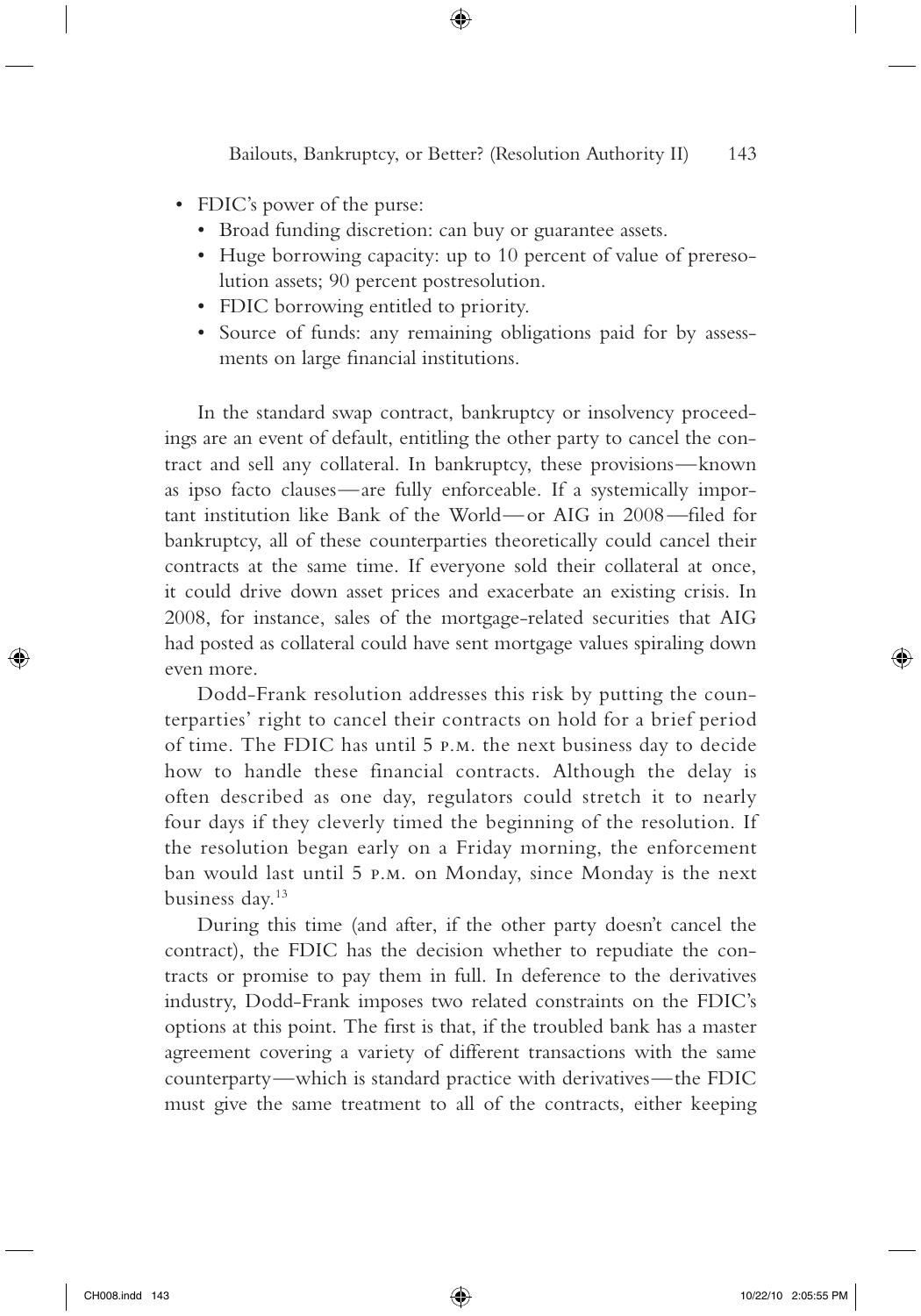⊕

- FDIC's power of the purse:
	- Broad funding discretion: can buy or guarantee assets.
	- Huge borrowing capacity: up to 10 percent of value of prereso-• lution assets; 90 percent postresolution.
	- FDIC borrowing entitled to priority. •
	- Source of funds: any remaining obligations paid for by assessments on large financial institutions.

In the standard swap contract, bankruptcy or insolvency proceedings are an event of default, entitling the other party to cancel the contract and sell any collateral. In bankruptcy, these provisions — known as ipso facto clauses—are fully enforceable. If a systemically important institution like Bank of the World—or AIG in 2008—filed for bankruptcy, all of these counterparties theoretically could cancel their contracts at the same time. If everyone sold their collateral at once, it could drive down asset prices and exacerbate an existing crisis. In 2008, for instance, sales of the mortgage-related securities that AIG had posted as collateral could have sent mortgage values spiraling down even more.

Dodd-Frank resolution addresses this risk by putting the counterparties' right to cancel their contracts on hold for a brief period of time. The FDIC has until 5 p.m. the next business day to decide how to handle these financial contracts. Although the delay is often described as one day, regulators could stretch it to nearly four days if they cleverly timed the beginning of the resolution. If the resolution began early on a Friday morning, the enforcement ban would last until 5 p.m. on Monday, since Monday is the next business day. 13

During this time (and after, if the other party doesn't cancel the contract), the FDIC has the decision whether to repudiate the contracts or promise to pay them in full. In deference to the derivatives industry, Dodd-Frank imposes two related constraints on the FDIC's options at this point. The first is that, if the troubled bank has a master agreement covering a variety of different transactions with the same counterparty — which is standard practice with derivatives — the FDIC must give the same treatment to all of the contracts, either keeping

↔

↔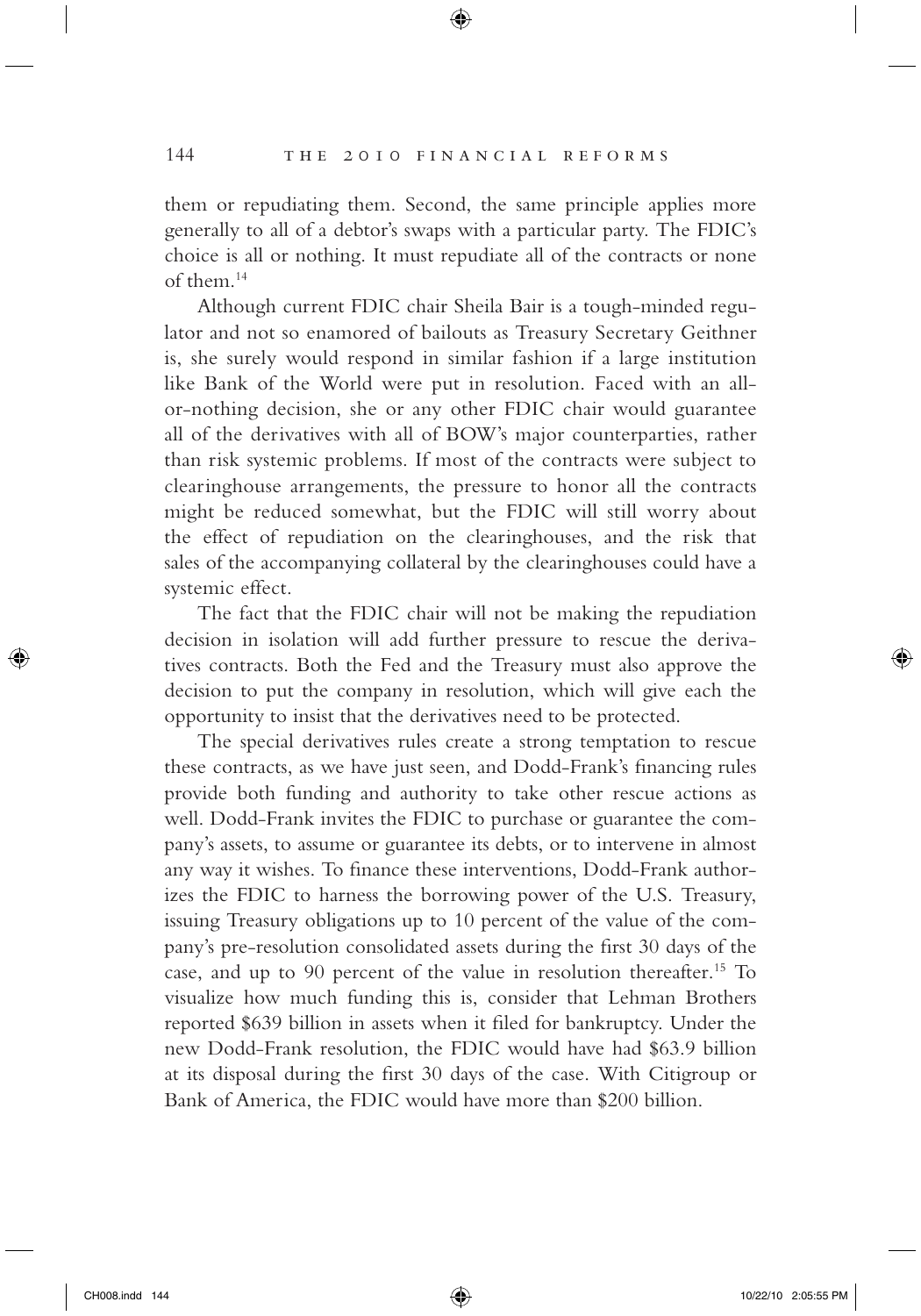them or repudiating them. Second, the same principle applies more generally to all of a debtor's swaps with a particular party. The FDIC's choice is all or nothing. It must repudiate all of the contracts or none of them. 14

⊕

Although current FDIC chair Sheila Bair is a tough-minded regulator and not so enamored of bailouts as Treasury Secretary Geithner is, she surely would respond in similar fashion if a large institution like Bank of the World were put in resolution. Faced with an allor - nothing decision, she or any other FDIC chair would guarantee all of the derivatives with all of BOW's major counterparties, rather than risk systemic problems. If most of the contracts were subject to clearinghouse arrangements, the pressure to honor all the contracts might be reduced somewhat, but the FDIC will still worry about the effect of repudiation on the clearinghouses, and the risk that sales of the accompanying collateral by the clearinghouses could have a systemic effect.

The fact that the FDIC chair will not be making the repudiation decision in isolation will add further pressure to rescue the derivatives contracts. Both the Fed and the Treasury must also approve the decision to put the company in resolution, which will give each the opportunity to insist that the derivatives need to be protected.

The special derivatives rules create a strong temptation to rescue these contracts, as we have just seen, and Dodd-Frank's financing rules provide both funding and authority to take other rescue actions as well. Dodd-Frank invites the FDIC to purchase or guarantee the company's assets, to assume or guarantee its debts, or to intervene in almost any way it wishes. To finance these interventions, Dodd-Frank authorizes the FDIC to harness the borrowing power of the U.S. Treasury, issuing Treasury obligations up to 10 percent of the value of the company's pre-resolution consolidated assets during the first 30 days of the case, and up to 90 percent of the value in resolution thereafter. 15 To visualize how much funding this is, consider that Lehman Brothers reported \$639 billion in assets when it filed for bankruptcy. Under the new Dodd-Frank resolution, the FDIC would have had \$63.9 billion at its disposal during the first 30 days of the case. With Citigroup or Bank of America, the FDIC would have more than \$200 billion.

⇔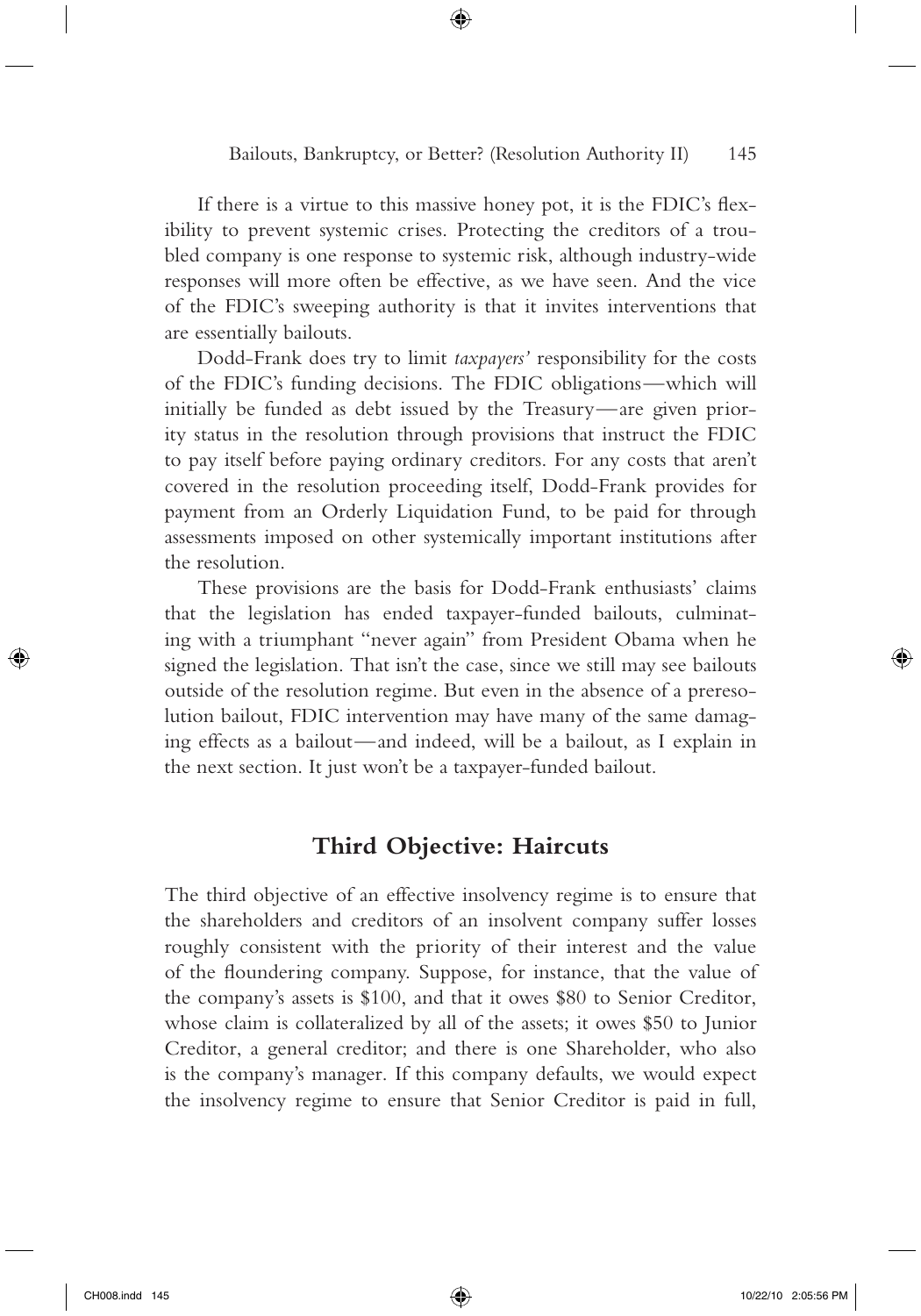If there is a virtue to this massive honey pot, it is the FDIC's flexibility to prevent systemic crises. Protecting the creditors of a troubled company is one response to systemic risk, although industry - wide responses will more often be effective, as we have seen. And the vice of the FDIC's sweeping authority is that it invites interventions that are essentially bailouts.

⊕

Dodd-Frank does try to limit *taxpayers'* responsibility for the costs of the FDIC's funding decisions. The FDIC obligations—which will initially be funded as debt issued by the Treasury—are given priority status in the resolution through provisions that instruct the FDIC to pay itself before paying ordinary creditors. For any costs that aren't covered in the resolution proceeding itself, Dodd - Frank provides for payment from an Orderly Liquidation Fund, to be paid for through assessments imposed on other systemically important institutions after the resolution.

These provisions are the basis for Dodd-Frank enthusiasts' claims that the legislation has ended taxpayer-funded bailouts, culminating with a triumphant "never again" from President Obama when he signed the legislation. That isn't the case, since we still may see bailouts outside of the resolution regime. But even in the absence of a preresolution bailout, FDIC intervention may have many of the same damaging effects as a bailout — and indeed, will be a bailout, as I explain in the next section. It just won't be a taxpayer-funded bailout.

# Third Objective: Haircuts

The third objective of an effective insolvency regime is to ensure that the shareholders and creditors of an insolvent company suffer losses roughly consistent with the priority of their interest and the value of the floundering company. Suppose, for instance, that the value of the company's assets is \$100, and that it owes \$80 to Senior Creditor, whose claim is collateralized by all of the assets; it owes \$50 to Junior Creditor, a general creditor; and there is one Shareholder, who also is the company's manager. If this company defaults, we would expect the insolvency regime to ensure that Senior Creditor is paid in full,

⊕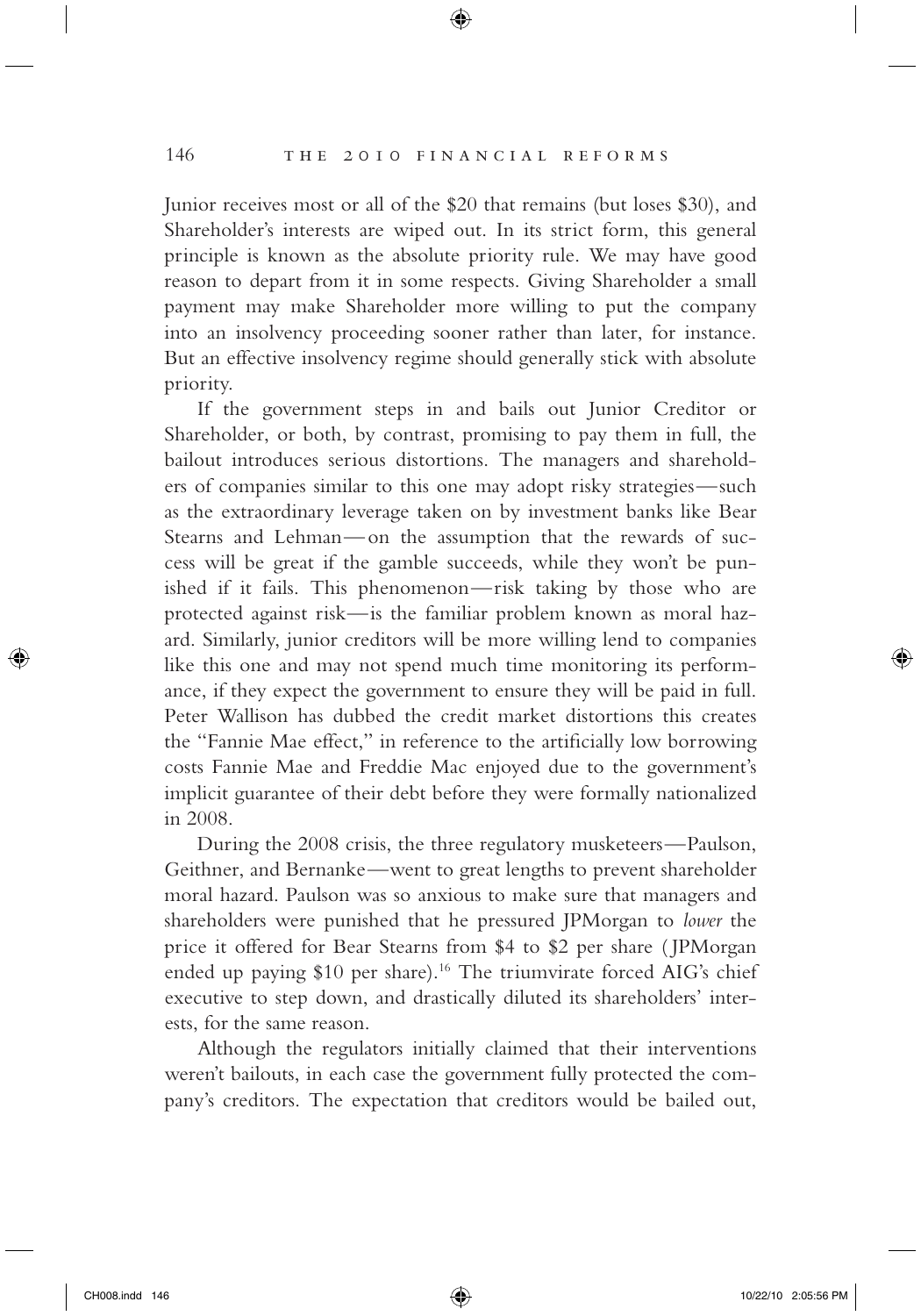Junior receives most or all of the \$20 that remains (but loses \$30), and Shareholder's interests are wiped out. In its strict form, this general principle is known as the absolute priority rule. We may have good reason to depart from it in some respects. Giving Shareholder a small payment may make Shareholder more willing to put the company into an insolvency proceeding sooner rather than later, for instance. But an effective insolvency regime should generally stick with absolute priority.

⊕

If the government steps in and bails out Junior Creditor or Shareholder, or both, by contrast, promising to pay them in full, the bailout introduces serious distortions. The managers and shareholders of companies similar to this one may adopt risky strategies — such as the extraordinary leverage taken on by investment banks like Bear Stearns and Lehman-on the assumption that the rewards of success will be great if the gamble succeeds, while they won't be punished if it fails. This phenomenon — risk taking by those who are protected against risk—is the familiar problem known as moral hazard. Similarly, junior creditors will be more willing lend to companies like this one and may not spend much time monitoring its performance, if they expect the government to ensure they will be paid in full. Peter Wallison has dubbed the credit market distortions this creates the "Fannie Mae effect," in reference to the artificially low borrowing costs Fannie Mae and Freddie Mac enjoyed due to the government's implicit guarantee of their debt before they were formally nationalized in 2008.

During the 2008 crisis, the three regulatory musketeers—Paulson, Geithner, and Bernanke — went to great lengths to prevent shareholder moral hazard. Paulson was so anxious to make sure that managers and shareholders were punished that he pressured JPMorgan to lower the price it offered for Bear Stearns from \$4 to \$2 per share (JPMorgan ended up paying  $$10$  per share).<sup>16</sup> The triumvirate forced AIG's chief executive to step down, and drastically diluted its shareholders' interests, for the same reason.

Although the regulators initially claimed that their interventions weren't bailouts, in each case the government fully protected the company's creditors. The expectation that creditors would be bailed out,

⇔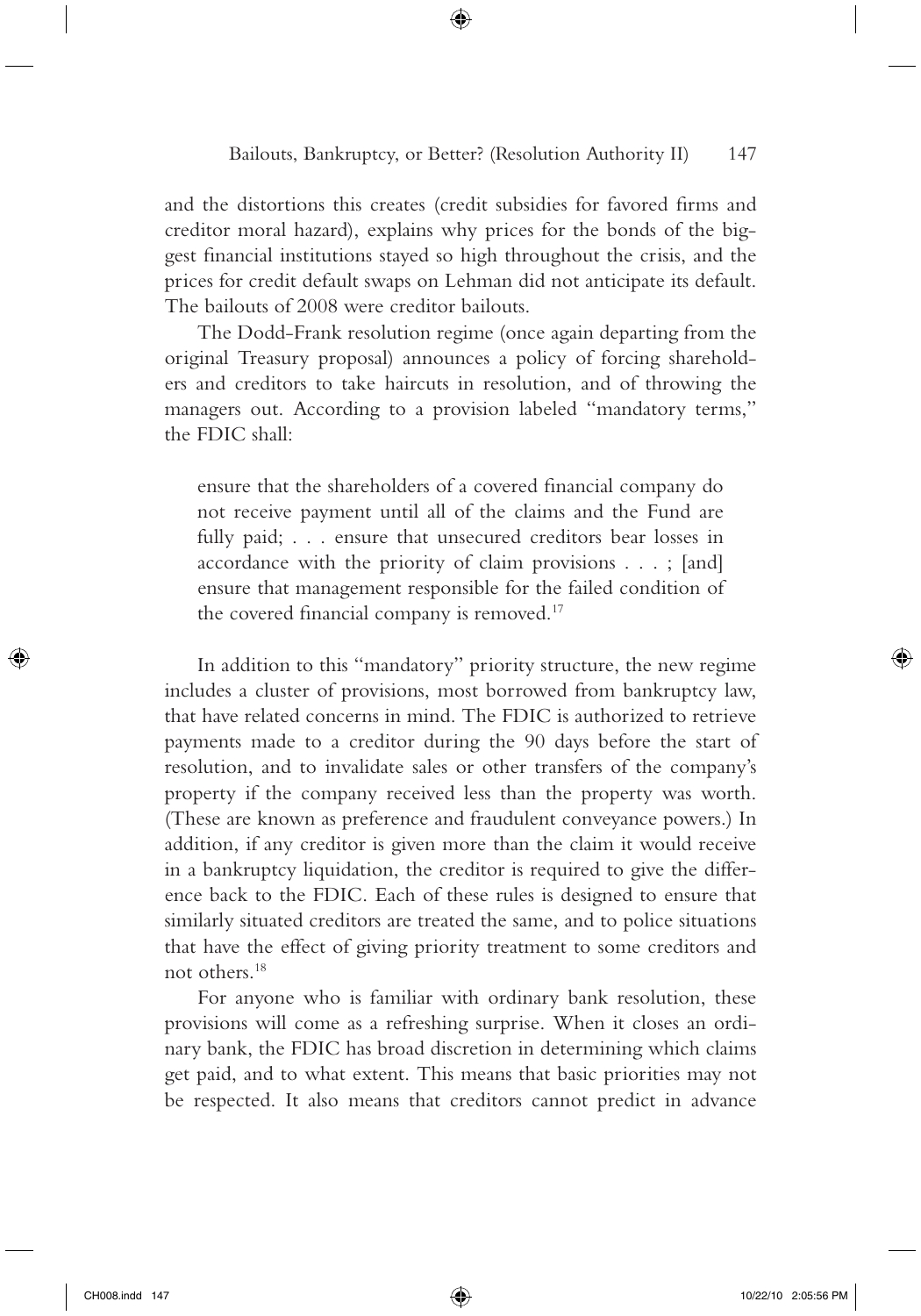and the distortions this creates (credit subsidies for favored firms and creditor moral hazard), explains why prices for the bonds of the biggest financial institutions stayed so high throughout the crisis, and the prices for credit default swaps on Lehman did not anticipate its default. The bailouts of 2008 were creditor bailouts.

⊕

The Dodd-Frank resolution regime (once again departing from the original Treasury proposal) announces a policy of forcing shareholders and creditors to take haircuts in resolution, and of throwing the managers out. According to a provision labeled "mandatory terms," the FDIC shall:

ensure that the shareholders of a covered financial company do not receive payment until all of the claims and the Fund are fully paid; . . . ensure that unsecured creditors bear losses in accordance with the priority of claim provisions. . . ; [and] ensure that management responsible for the failed condition of the covered financial company is removed.<sup>17</sup>

In addition to this "mandatory" priority structure, the new regime includes a cluster of provisions, most borrowed from bankruptcy law, that have related concerns in mind. The FDIC is authorized to retrieve payments made to a creditor during the 90 days before the start of resolution, and to invalidate sales or other transfers of the company's property if the company received less than the property was worth. (These are known as preference and fraudulent conveyance powers.) In addition, if any creditor is given more than the claim it would receive in a bankruptcy liquidation, the creditor is required to give the difference back to the FDIC. Each of these rules is designed to ensure that similarly situated creditors are treated the same, and to police situations that have the effect of giving priority treatment to some creditors and not others.<sup>18</sup>

For anyone who is familiar with ordinary bank resolution, these provisions will come as a refreshing surprise. When it closes an ordinary bank, the FDIC has broad discretion in determining which claims get paid, and to what extent. This means that basic priorities may not be respected. It also means that creditors cannot predict in advance

⇔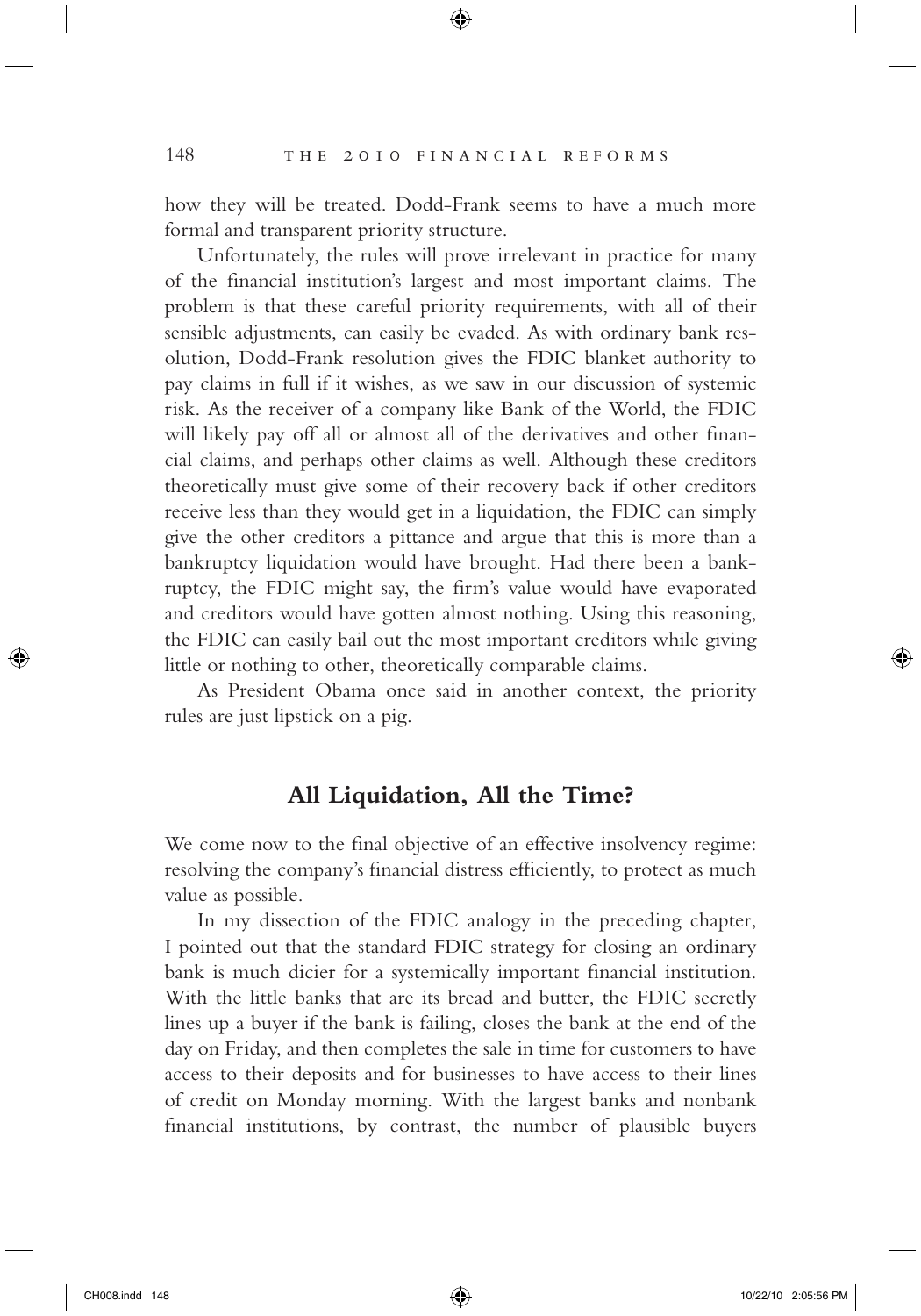how they will be treated. Dodd-Frank seems to have a much more formal and transparent priority structure.

⊕

Unfortunately, the rules will prove irrelevant in practice for many of the financial institution's largest and most important claims. The problem is that these careful priority requirements, with all of their sensible adjustments, can easily be evaded. As with ordinary bank resolution, Dodd-Frank resolution gives the FDIC blanket authority to pay claims in full if it wishes, as we saw in our discussion of systemic risk. As the receiver of a company like Bank of the World, the FDIC will likely pay off all or almost all of the derivatives and other financial claims, and perhaps other claims as well. Although these creditors theoretically must give some of their recovery back if other creditors receive less than they would get in a liquidation, the FDIC can simply give the other creditors a pittance and argue that this is more than a bankruptcy liquidation would have brought. Had there been a bankruptcy, the FDIC might say, the firm's value would have evaporated and creditors would have gotten almost nothing. Using this reasoning, the FDIC can easily bail out the most important creditors while giving little or nothing to other, theoretically comparable claims.

As President Obama once said in another context, the priority rules are just lipstick on a pig.

# All Liquidation, All the Time?

We come now to the final objective of an effective insolvency regime: resolving the company's financial distress efficiently, to protect as much value as possible.

In my dissection of the FDIC analogy in the preceding chapter, I pointed out that the standard FDIC strategy for closing an ordinary bank is much dicier for a systemically important financial institution. With the little banks that are its bread and butter, the FDIC secretly lines up a buyer if the bank is failing, closes the bank at the end of the day on Friday, and then completes the sale in time for customers to have access to their deposits and for businesses to have access to their lines of credit on Monday morning. With the largest banks and nonbank financial institutions, by contrast, the number of plausible buyers

↔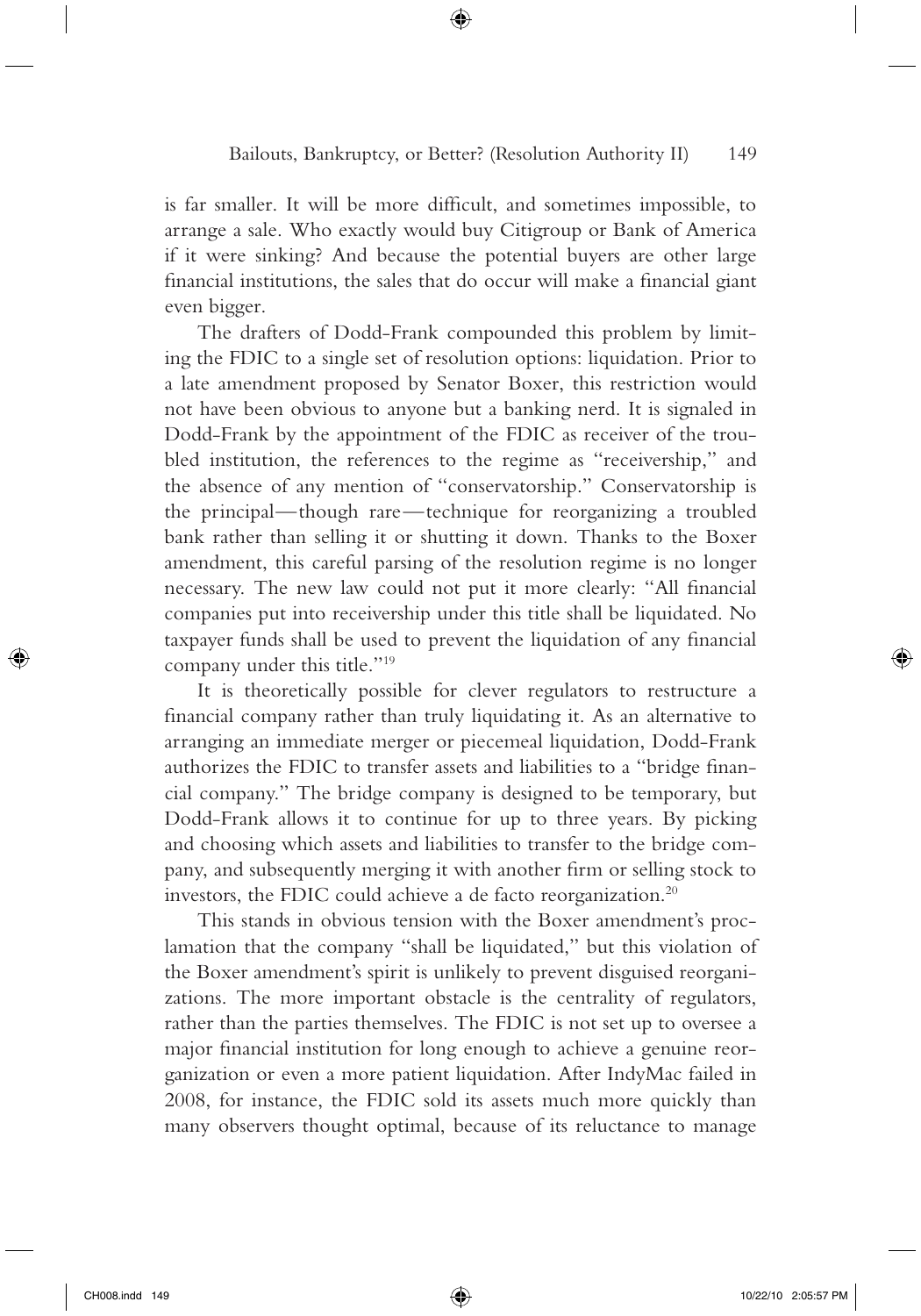is far smaller. It will be more difficult, and sometimes impossible, to arrange a sale. Who exactly would buy Citigroup or Bank of America if it were sinking? And because the potential buyers are other large financial institutions, the sales that do occur will make a financial giant even bigger.

⊕

The drafters of Dodd-Frank compounded this problem by limiting the FDIC to a single set of resolution options: liquidation. Prior to a late amendment proposed by Senator Boxer, this restriction would not have been obvious to anyone but a banking nerd. It is signaled in Dodd-Frank by the appointment of the FDIC as receiver of the troubled institution, the references to the regime as "receivership," and the absence of any mention of "conservatorship." Conservatorship is the principal—though rare—technique for reorganizing a troubled bank rather than selling it or shutting it down. Thanks to the Boxer amendment, this careful parsing of the resolution regime is no longer necessary. The new law could not put it more clearly: "All financial companies put into receivership under this title shall be liquidated. No taxpayer funds shall be used to prevent the liquidation of any financial company under this title."<sup>19</sup>

It is theoretically possible for clever regulators to restructure a financial company rather than truly liquidating it. As an alternative to arranging an immediate merger or piecemeal liquidation, Dodd - Frank authorizes the FDIC to transfer assets and liabilities to a "bridge financial company. "The bridge company is designed to be temporary, but Dodd-Frank allows it to continue for up to three years. By picking and choosing which assets and liabilities to transfer to the bridge company, and subsequently merging it with another firm or selling stock to investors, the FDIC could achieve a de facto reorganization.<sup>20</sup>

This stands in obvious tension with the Boxer amendment's proclamation that the company "shall be liquidated," but this violation of the Boxer amendment's spirit is unlikely to prevent disguised reorganizations. The more important obstacle is the centrality of regulators, rather than the parties themselves. The FDIC is not set up to oversee a major financial institution for long enough to achieve a genuine reorganization or even a more patient liquidation. After IndyMac failed in 2008, for instance, the FDIC sold its assets much more quickly than many observers thought optimal, because of its reluctance to manage

⇔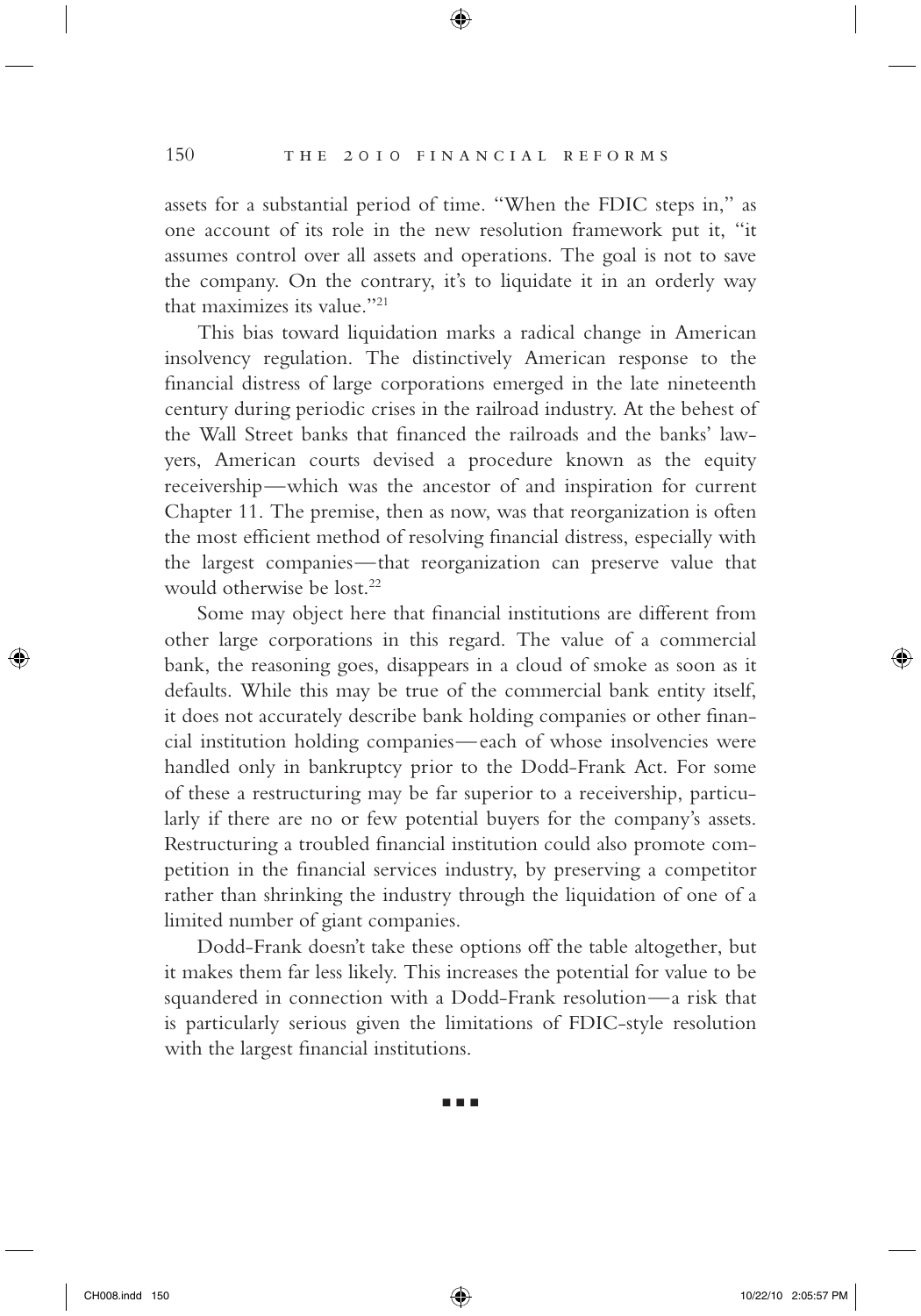assets for a substantial period of time. "When the FDIC steps in," as one account of its role in the new resolution framework put it, " it assumes control over all assets and operations. The goal is not to save the company. On the contrary, it's to liquidate it in an orderly way that maximizes its value."<sup>21</sup>

⊕

This bias toward liquidation marks a radical change in American insolvency regulation. The distinctively American response to the financial distress of large corporations emerged in the late nineteenth century during periodic crises in the railroad industry. At the behest of the Wall Street banks that financed the railroads and the banks' lawyers, American courts devised a procedure known as the equity receivership — which was the ancestor of and inspiration for current Chapter 11 . The premise, then as now, was that reorganization is often the most efficient method of resolving financial distress, especially with the largest companies — that reorganization can preserve value that would otherwise be lost.<sup>22</sup>

Some may object here that financial institutions are different from other large corporations in this regard. The value of a commercial bank, the reasoning goes, disappears in a cloud of smoke as soon as it defaults. While this may be true of the commercial bank entity itself, it does not accurately describe bank holding companies or other financial institution holding companies — each of whose insolvencies were handled only in bankruptcy prior to the Dodd-Frank Act. For some of these a restructuring may be far superior to a receivership, particularly if there are no or few potential buyers for the company's assets. Restructuring a troubled financial institution could also promote competition in the financial services industry, by preserving a competitor rather than shrinking the industry through the liquidation of one of a limited number of giant companies.

Dodd-Frank doesn't take these options off the table altogether, but it makes them far less likely. This increases the potential for value to be squandered in connection with a Dodd-Frank resolution—a risk that is particularly serious given the limitations of FDIC-style resolution with the largest financial institutions.

■ ■ ■

⇔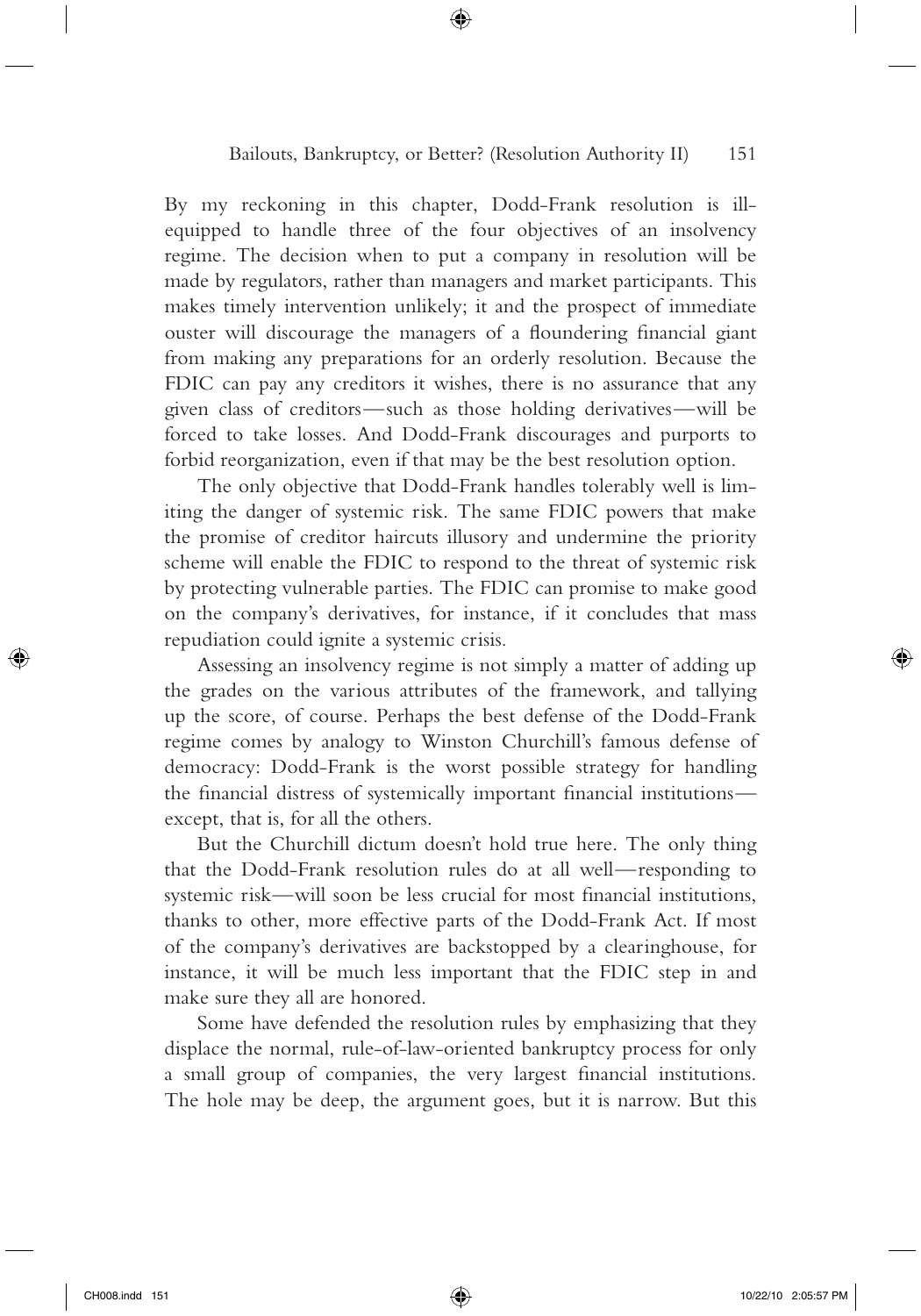#### Bailouts, Bankruptcy, or Better? (Resolution Authority II) 151

⊕

By my reckoning in this chapter, Dodd-Frank resolution is illequipped to handle three of the four objectives of an insolvency regime. The decision when to put a company in resolution will be made by regulators, rather than managers and market participants. This makes timely intervention unlikely; it and the prospect of immediate ouster will discourage the managers of a floundering financial giant from making any preparations for an orderly resolution. Because the FDIC can pay any creditors it wishes, there is no assurance that any given class of creditors — such as those holding derivatives — will be forced to take losses. And Dodd-Frank discourages and purports to forbid reorganization, even if that may be the best resolution option.

The only objective that Dodd-Frank handles tolerably well is limiting the danger of systemic risk. The same FDIC powers that make the promise of creditor haircuts illusory and undermine the priority scheme will enable the FDIC to respond to the threat of systemic risk by protecting vulnerable parties. The FDIC can promise to make good on the company's derivatives, for instance, if it concludes that mass repudiation could ignite a systemic crisis.

Assessing an insolvency regime is not simply a matter of adding up the grades on the various attributes of the framework, and tallying up the score, of course. Perhaps the best defense of the Dodd - Frank regime comes by analogy to Winston Churchill's famous defense of democracy: Dodd-Frank is the worst possible strategy for handling the financial distress of systemically important financial institutions except, that is, for all the others.

But the Churchill dictum doesn't hold true here. The only thing that the Dodd-Frank resolution rules do at all well—responding to systemic risk—will soon be less crucial for most financial institutions, thanks to other, more effective parts of the Dodd-Frank Act. If most of the company's derivatives are backstopped by a clearinghouse, for instance, it will be much less important that the FDIC step in and make sure they all are honored.

Some have defended the resolution rules by emphasizing that they displace the normal, rule-of-law-oriented bankruptcy process for only a small group of companies, the very largest financial institutions. The hole may be deep, the argument goes, but it is narrow. But this

⊕